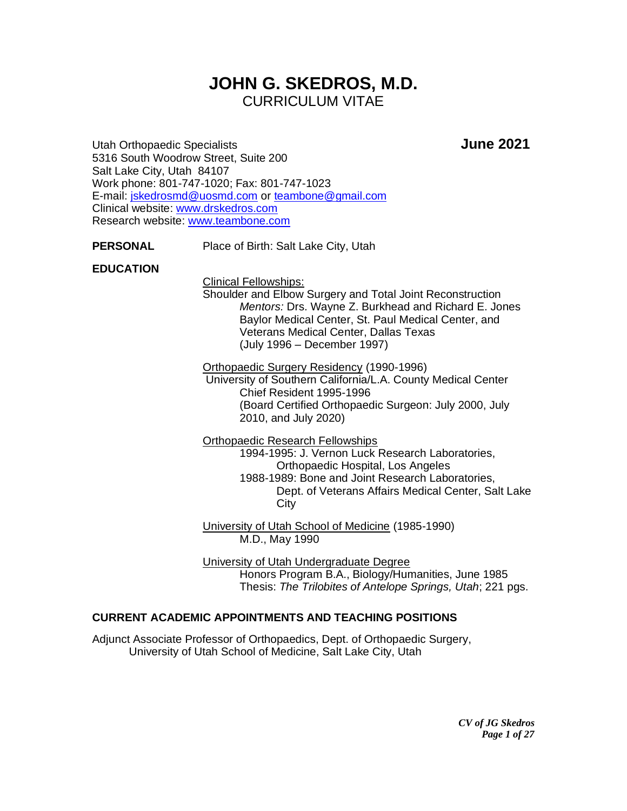# **JOHN G. SKEDROS, M.D.** CURRICULUM VITAE

Utah Orthopaedic Specialists **June 2021** 5316 South Woodrow Street, Suite 200 Salt Lake City, Utah 84107 Work phone: 801-747-1020; Fax: 801-747-1023 E-mail: [jskedrosmd@uosmd.com](mailto:jskedrosmd@uosmd.com) or [teambone@gmail.com](mailto:teambone@gmail.com) Clinical website: [www.drskedros.com](http://www.drskedros.com/)  Research website: [www.teambone.com](http://www.teambone.com/)

**PERSONAL** Place of Birth: Salt Lake City, Utah

### **EDUCATION**

Clinical Fellowships:

Shoulder and Elbow Surgery and Total Joint Reconstruction *Mentors:* Drs. Wayne Z. Burkhead and Richard E. Jones Baylor Medical Center, St. Paul Medical Center, and Veterans Medical Center, Dallas Texas (July 1996 – December 1997)

Orthopaedic Surgery Residency (1990-1996)

University of Southern California/L.A. County Medical Center Chief Resident 1995-1996 (Board Certified Orthopaedic Surgeon: July 2000, July 2010, and July 2020)

Orthopaedic Research Fellowships

1994-1995: J. Vernon Luck Research Laboratories, Orthopaedic Hospital, Los Angeles 1988-1989: Bone and Joint Research Laboratories, Dept. of Veterans Affairs Medical Center, Salt Lake

**City** 

University of Utah School of Medicine (1985-1990) M.D., May 1990

University of Utah Undergraduate Degree Honors Program B.A., Biology/Humanities, June 1985 Thesis: *The Trilobites of Antelope Springs, Utah*; 221 pgs.

### **CURRENT ACADEMIC APPOINTMENTS AND TEACHING POSITIONS**

Adjunct Associate Professor of Orthopaedics, Dept. of Orthopaedic Surgery, University of Utah School of Medicine, Salt Lake City, Utah

> *CV of JG Skedros Page 1 of 27*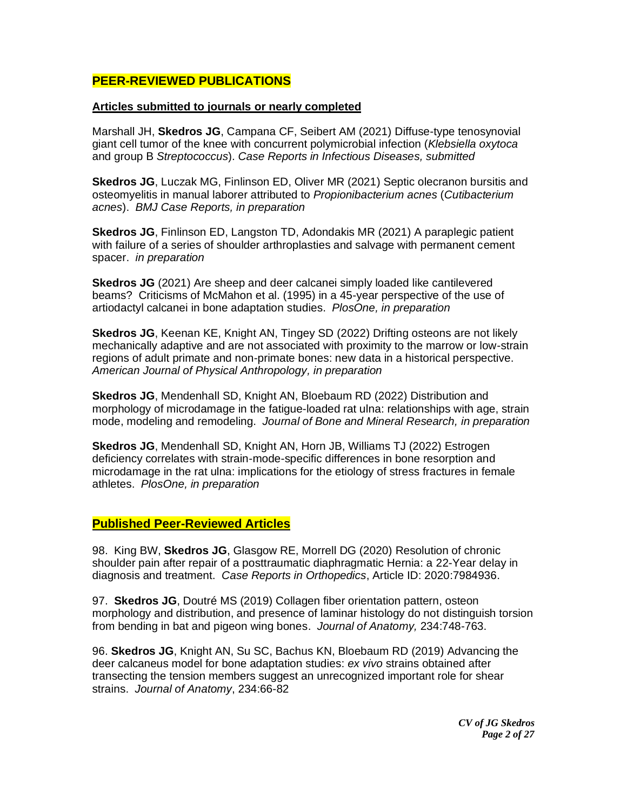## **PEER-REVIEWED PUBLICATIONS**

#### **Articles submitted to journals or nearly completed**

Marshall JH, **Skedros JG**, Campana CF, Seibert AM (2021) Diffuse-type tenosynovial giant cell tumor of the knee with concurrent polymicrobial infection (*Klebsiella oxytoca*  and group B *Streptococcus*). *Case Reports in Infectious Diseases, submitted*

**Skedros JG**, Luczak MG, Finlinson ED, Oliver MR (2021) Septic olecranon bursitis and osteomyelitis in manual laborer attributed to *Propionibacterium acnes* (*Cutibacterium acnes*). *BMJ Case Reports, in preparation*

**Skedros JG**, Finlinson ED, Langston TD, Adondakis MR (2021) A paraplegic patient with failure of a series of shoulder arthroplasties and salvage with permanent cement spacer. *in preparation*

**Skedros JG** (2021) Are sheep and deer calcanei simply loaded like cantilevered beams? Criticisms of McMahon et al. (1995) in a 45-year perspective of the use of artiodactyl calcanei in bone adaptation studies. *PlosOne, in preparation*

**Skedros JG**, Keenan KE, Knight AN, Tingey SD (2022) Drifting osteons are not likely mechanically adaptive and are not associated with proximity to the marrow or low-strain regions of adult primate and non-primate bones: new data in a historical perspective. *American Journal of Physical Anthropology, in preparation*

**Skedros JG**, Mendenhall SD, Knight AN, Bloebaum RD (2022) Distribution and morphology of microdamage in the fatigue-loaded rat ulna: relationships with age, strain mode, modeling and remodeling. *Journal of Bone and Mineral Research, in preparation*

**Skedros JG**, Mendenhall SD, Knight AN, Horn JB, Williams TJ (2022) Estrogen deficiency correlates with strain-mode-specific differences in bone resorption and microdamage in the rat ulna: implications for the etiology of stress fractures in female athletes. *PlosOne, in preparation*

### **Published Peer-Reviewed Articles**

98. King BW, **Skedros JG**, Glasgow RE, Morrell DG (2020) Resolution of chronic shoulder pain after repair of a posttraumatic diaphragmatic Hernia: a 22-Year delay in diagnosis and treatment. *Case Reports in Orthopedics*, Article ID: 2020:7984936.

97. **Skedros JG**, Doutré MS (2019) Collagen fiber orientation pattern, osteon morphology and distribution, and presence of laminar histology do not distinguish torsion from bending in bat and pigeon wing bones. *Journal of Anatomy,* 234:748-763.

96. **Skedros JG**, Knight AN, Su SC, Bachus KN, Bloebaum RD (2019) Advancing the deer calcaneus model for bone adaptation studies: *ex vivo* strains obtained after transecting the tension members suggest an unrecognized important role for shear strains. *Journal of Anatomy*, 234:66-82

> *CV of JG Skedros Page 2 of 27*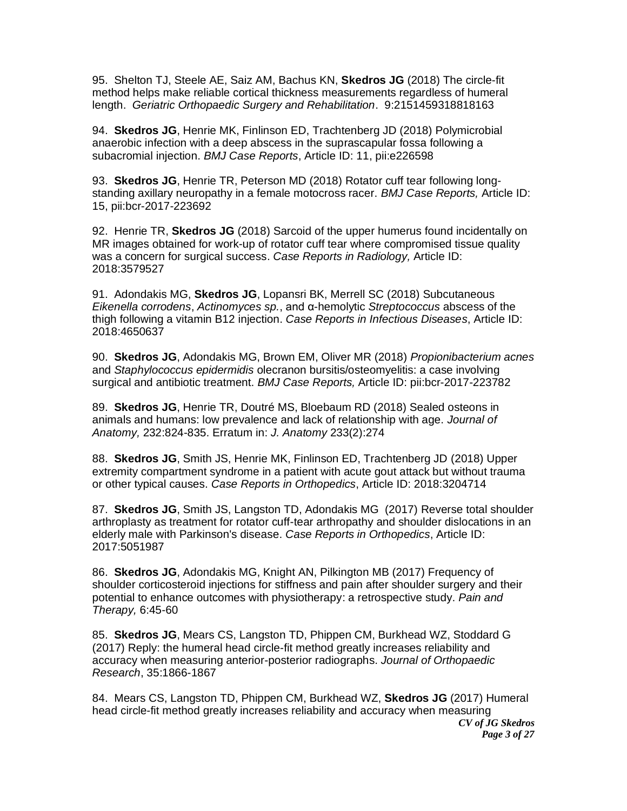95. Shelton TJ, Steele AE, Saiz AM, Bachus KN, **Skedros JG** (2018) The circle-fit method helps make reliable cortical thickness measurements regardless of humeral length. *Geriatric Orthopaedic Surgery and Rehabilitation*. 9:2151459318818163

94. **Skedros JG**, Henrie MK, Finlinson ED, Trachtenberg JD (2018) Polymicrobial anaerobic infection with a deep abscess in the suprascapular fossa following a subacromial injection. *BMJ Case Reports*, Article ID: 11, pii:e226598

93. **Skedros JG**, Henrie TR, Peterson MD (2018) Rotator cuff tear following longstanding axillary neuropathy in a female motocross racer. *BMJ Case Reports,* Article ID: 15, pii:bcr-2017-223692

92. Henrie TR, **Skedros JG** (2018) Sarcoid of the upper humerus found incidentally on MR images obtained for work-up of rotator cuff tear where compromised tissue quality was a concern for surgical success. *Case Reports in Radiology,* Article ID: 2018:3579527

91. Adondakis MG, **Skedros JG**, Lopansri BK, Merrell SC (2018) Subcutaneous *Eikenella corrodens*, *Actinomyces sp.*, and α-hemolytic *Streptococcus* abscess of the thigh following a vitamin B12 injection. *Case Reports in Infectious Diseases*, Article ID: 2018:4650637

90. **Skedros JG**, Adondakis MG, Brown EM, Oliver MR (2018) *Propionibacterium acnes* and *Staphylococcus epidermidis* olecranon bursitis/osteomyelitis: a case involving surgical and antibiotic treatment. *BMJ Case Reports,* Article ID: pii:bcr-2017-223782

89. **Skedros JG**, Henrie TR, Doutré MS, Bloebaum RD (2018) Sealed osteons in animals and humans: low prevalence and lack of relationship with age. *Journal of Anatomy,* 232:824-835. Erratum in: *J. Anatomy* 233(2):274

88. **Skedros JG**, Smith JS, Henrie MK, Finlinson ED, Trachtenberg JD (2018) Upper extremity compartment syndrome in a patient with acute gout attack but without trauma or other typical causes. *Case Reports in Orthopedics*, Article ID: 2018:3204714

87. **Skedros JG**, Smith JS, Langston TD, Adondakis MG (2017) [Reverse total shoulder](https://www.ncbi.nlm.nih.gov/pubmed/28948058)  [arthroplasty as treatment for rotator cuff-tear arthropathy and shoulder dislocations in an](https://www.ncbi.nlm.nih.gov/pubmed/28948058)  [elderly male with Parkinson's disease.](https://www.ncbi.nlm.nih.gov/pubmed/28948058) *Case Reports in Orthopedics*, Article ID: 2017:5051987

86. **Skedros JG**, Adondakis MG, Knight AN, Pilkington MB (2017) Frequency of shoulder corticosteroid injections for stiffness and pain after shoulder surgery and their potential to enhance outcomes with physiotherapy: a retrospective study. *Pain and Therapy,* 6:45-60

85. **Skedros JG**, Mears CS, Langston TD, Phippen CM, Burkhead WZ, Stoddard G (2017) [Reply: the humeral head circle-fit method greatly increases reliability and](https://www.ncbi.nlm.nih.gov/pubmed/28543760)  [accuracy when measuring anterior-posterior radiographs.](https://www.ncbi.nlm.nih.gov/pubmed/28543760) *Journal of Orthopaedic Research*, 35:1866-1867

*CV of JG Skedros* 84. Mears CS, Langston TD, Phippen CM, Burkhead WZ, **Skedros JG** (2017) Humeral head circle-fit method greatly increases reliability and accuracy when measuring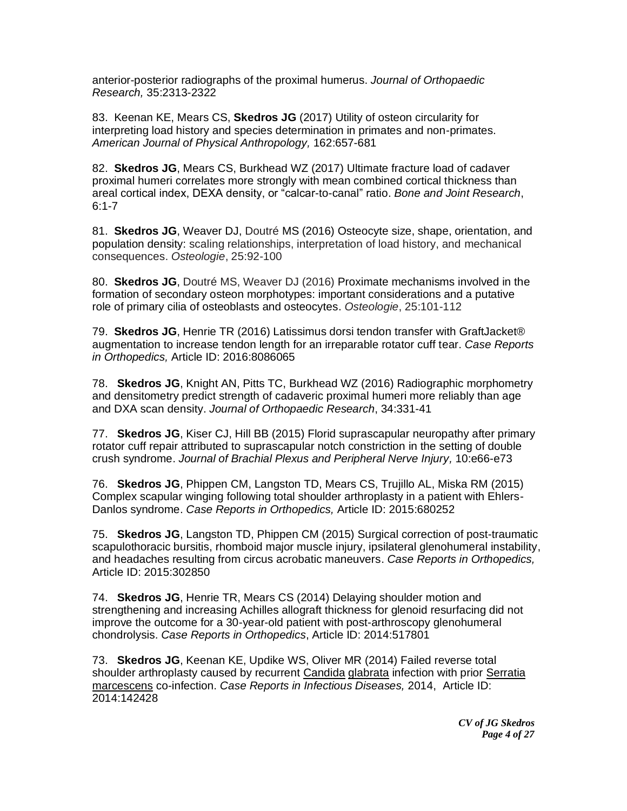anterior-posterior radiographs of the proximal humerus. *Journal of Orthopaedic Research,* 35:2313-2322

83. Keenan KE, Mears CS, **Skedros JG** (2017) Utility of osteon circularity for interpreting load history and species determination in primates and non-primates. *American Journal of Physical Anthropology,* 162:657-681

82. **Skedros JG**, Mears CS, Burkhead WZ (2017) Ultimate fracture load of cadaver proximal humeri correlates more strongly with mean combined cortical thickness than areal cortical index, DEXA density, or "calcar-to-canal" ratio. *Bone and Joint Research*,  $6:1 - 7$ 

81. **Skedros JG**, Weaver DJ, Doutré MS (2016) Osteocyte size, shape, orientation, and population density: scaling relationships, interpretation of load history, and mechanical consequences. *Osteologie*, 25:92-100

80. **Skedros JG**, Doutré MS, Weaver DJ (2016) Proximate mechanisms involved in the formation of secondary osteon morphotypes: important considerations and a putative role of primary cilia of osteoblasts and osteocytes. *Osteologie*, 25:101-112

79. **Skedros JG**, Henrie TR (2016) Latissimus dorsi tendon transfer with GraftJacket® augmentation to increase tendon length for an irreparable rotator cuff tear. *Case Reports in Orthopedics,* Article ID: 2016:8086065

78. **Skedros JG**, Knight AN, Pitts TC, Burkhead WZ (2016) Radiographic morphometry and densitometry predict strength of cadaveric proximal humeri more reliably than age and DXA scan density. *Journal of Orthopaedic Research*, 34:331-41

77. **Skedros JG**, Kiser CJ, Hill BB (2015) Florid suprascapular neuropathy after primary rotator cuff repair attributed to suprascapular notch constriction in the setting of double crush syndrome. *Journal of Brachial Plexus and Peripheral Nerve Injury,* 10:e66-e73

76. **Skedros JG**, Phippen CM, Langston TD, Mears CS, Trujillo AL, Miska RM (2015) Complex scapular winging following total shoulder arthroplasty in a patient with Ehlers-Danlos syndrome. *Case Reports in Orthopedics,* Article ID: 2015:680252

75. **Skedros JG**, Langston TD, Phippen CM (2015) Surgical correction of post-traumatic scapulothoracic bursitis, rhomboid major muscle injury, ipsilateral glenohumeral instability, and headaches resulting from circus acrobatic maneuvers. *Case Reports in Orthopedics,* Article ID: 2015:302850

74. **Skedros JG**, Henrie TR, Mears CS (2014) Delaying shoulder motion and strengthening and increasing Achilles allograft thickness for glenoid resurfacing did not improve the outcome for a 30-year-old patient with post-arthroscopy glenohumeral chondrolysis. *Case Reports in Orthopedics*, Article ID: 2014:517801

73. **Skedros JG**, Keenan KE, Updike WS, Oliver MR (2014) Failed reverse total shoulder arthroplasty caused by recurrent Candida glabrata infection with prior Serratia marcescens co-infection. *Case Reports in Infectious Diseases,* 2014, Article ID: 2014:142428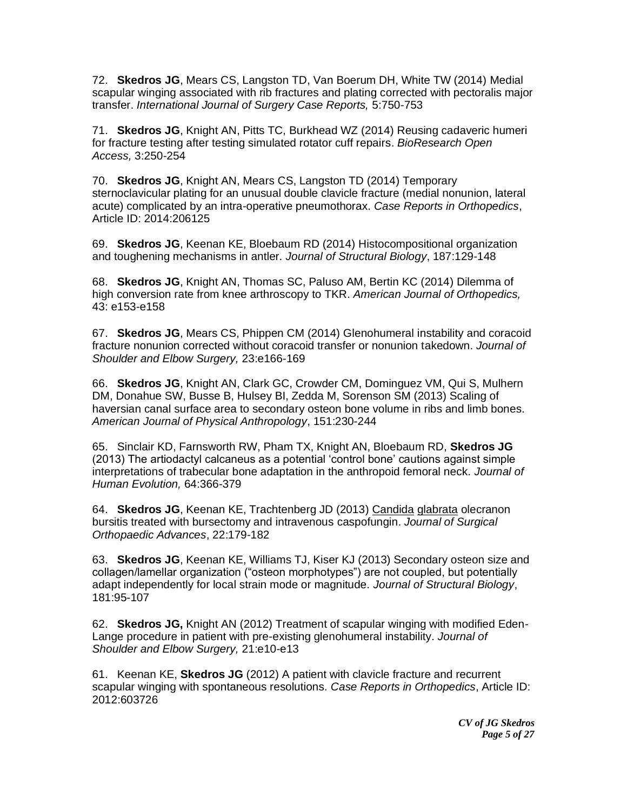72. **Skedros JG**, Mears CS, Langston TD, Van Boerum DH, White TW (2014) Medial scapular winging associated with rib fractures and plating corrected with pectoralis major transfer. *International Journal of Surgery Case Reports,* 5:750-753

71. **Skedros JG**, Knight AN, Pitts TC, Burkhead WZ (2014) Reusing cadaveric humeri for fracture testing after testing simulated rotator cuff repairs. *BioResearch Open Access,* 3:250-254

70. **Skedros JG**, Knight AN, Mears CS, Langston TD (2014) Temporary sternoclavicular plating for an unusual double clavicle fracture (medial nonunion, lateral acute) complicated by an intra-operative pneumothorax. *Case Reports in Orthopedics*, Article ID: 2014:206125

69. **Skedros JG**, Keenan KE, Bloebaum RD (2014) Histocompositional organization and toughening mechanisms in antler. *Journal of Structural Biology*, 187:129-148

68. **Skedros JG**, Knight AN, Thomas SC, Paluso AM, Bertin KC (2014) Dilemma of high conversion rate from knee arthroscopy to TKR. *American Journal of Orthopedics,*  43: e153-e158

67. **Skedros JG**, Mears CS, Phippen CM (2014) Glenohumeral instability and coracoid fracture nonunion corrected without coracoid transfer or nonunion takedown. *Journal of Shoulder and Elbow Surgery,* 23:e166-169

66. **Skedros JG**, Knight AN, Clark GC, Crowder CM, Dominguez VM, Qui S, Mulhern DM, Donahue SW, Busse B, Hulsey BI, Zedda M, Sorenson SM (2013) Scaling of haversian canal surface area to secondary osteon bone volume in ribs and limb bones. *American Journal of Physical Anthropology*, 151:230-244

65. Sinclair KD, Farnsworth RW, Pham TX, Knight AN, Bloebaum RD, **Skedros JG** (2013) The artiodactyl calcaneus as a potential 'control bone' cautions against simple interpretations of trabecular bone adaptation in the anthropoid femoral neck. *Journal of Human Evolution,* 64:366-379

64. **Skedros JG**, Keenan KE, Trachtenberg JD (2013) Candida glabrata olecranon bursitis treated with bursectomy and intravenous caspofungin. *Journal of Surgical Orthopaedic Advances*, 22:179-182

63. **Skedros JG**, Keenan KE, Williams TJ, Kiser KJ (2013) Secondary osteon size and collagen/lamellar organization ("osteon morphotypes") are not coupled, but potentially adapt independently for local strain mode or magnitude. *Journal of Structural Biology*, 181:95-107

62. **Skedros JG,** Knight AN (2012) Treatment of scapular winging with modified Eden-Lange procedure in patient with pre-existing glenohumeral instability. *Journal of Shoulder and Elbow Surgery,* 21:e10-e13

61. Keenan KE, **Skedros JG** (2012) A patient with clavicle fracture and recurrent scapular winging with spontaneous resolutions. *Case Reports in Orthopedics*, Article ID: 2012:603726

> *CV of JG Skedros Page 5 of 27*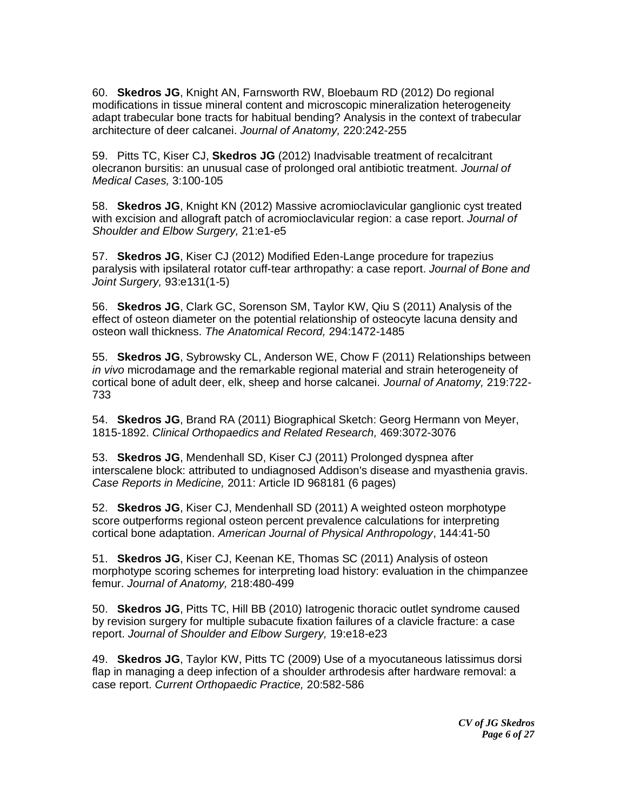60. **Skedros JG**, Knight AN, Farnsworth RW, Bloebaum RD (2012) Do regional modifications in tissue mineral content and microscopic mineralization heterogeneity adapt trabecular bone tracts for habitual bending? Analysis in the context of trabecular architecture of deer calcanei. *Journal of Anatomy,* 220:242-255

59. Pitts TC, Kiser CJ, **Skedros JG** (2012) Inadvisable treatment of recalcitrant olecranon bursitis: an unusual case of prolonged oral antibiotic treatment. *Journal of Medical Cases,* 3:100-105

58. **Skedros JG**, Knight KN (2012) Massive acromioclavicular ganglionic cyst treated with excision and allograft patch of acromioclavicular region: a case report. *Journal of Shoulder and Elbow Surgery,* 21:e1-e5

57. **Skedros JG**, Kiser CJ (2012) Modified Eden-Lange procedure for trapezius paralysis with ipsilateral rotator cuff-tear arthropathy: a case report. *Journal of Bone and Joint Surgery,* 93:e131(1-5)

56. **Skedros JG**, Clark GC, Sorenson SM, Taylor KW, Qiu S (2011) Analysis of the effect of osteon diameter on the potential relationship of osteocyte lacuna density and osteon wall thickness. *The Anatomical Record,* 294:1472-1485

55. **Skedros JG**, Sybrowsky CL, Anderson WE, Chow F (2011) Relationships between *in vivo* microdamage and the remarkable regional material and strain heterogeneity of cortical bone of adult deer, elk, sheep and horse calcanei. *Journal of Anatomy,* 219:722- 733

54. **Skedros JG**, Brand RA (2011) Biographical Sketch: Georg Hermann von Meyer, 1815-1892. *Clinical Orthopaedics and Related Research,* 469:3072-3076

53. **Skedros JG**, Mendenhall SD, Kiser CJ (2011) Prolonged dyspnea after interscalene block: attributed to undiagnosed Addison's disease and myasthenia gravis. *Case Reports in Medicine,* 2011: Article ID 968181 (6 pages)

52. **Skedros JG**, Kiser CJ, Mendenhall SD (2011) A weighted osteon morphotype score outperforms regional osteon percent prevalence calculations for interpreting cortical bone adaptation. *American Journal of Physical Anthropology*, 144:41-50

51. **Skedros JG**, Kiser CJ, Keenan KE, Thomas SC (2011) Analysis of osteon morphotype scoring schemes for interpreting load history: evaluation in the chimpanzee femur. *Journal of Anatomy,* 218:480-499

50. **Skedros JG**, Pitts TC, Hill BB (2010) Iatrogenic thoracic outlet syndrome caused by revision surgery for multiple subacute fixation failures of a clavicle fracture: a case report. *Journal of Shoulder and Elbow Surgery,* 19:e18-e23

49. **Skedros JG**, Taylor KW, Pitts TC (2009) Use of a myocutaneous latissimus dorsi flap in managing a deep infection of a shoulder arthrodesis after hardware removal: a case report. *Current Orthopaedic Practice,* 20:582-586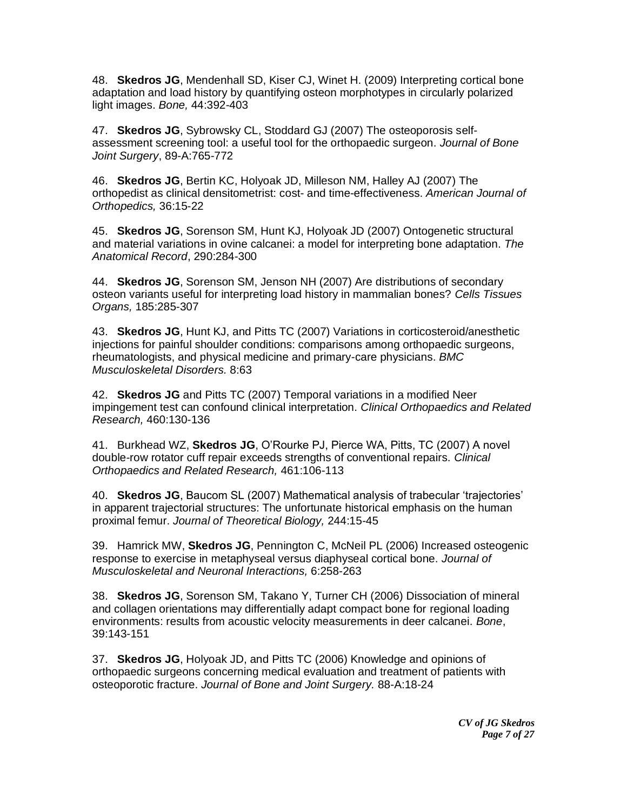48. **Skedros JG**, Mendenhall SD, Kiser CJ, Winet H. (2009) Interpreting cortical bone adaptation and load history by quantifying osteon morphotypes in circularly polarized light images. *Bone,* 44:392-403

47. **Skedros JG**, Sybrowsky CL, Stoddard GJ (2007) The osteoporosis selfassessment screening tool: a useful tool for the orthopaedic surgeon. *Journal of Bone Joint Surgery*, 89-A:765-772

46. **Skedros JG**, Bertin KC, Holyoak JD, Milleson NM, Halley AJ (2007) The orthopedist as clinical densitometrist: cost- and time-effectiveness. *American Journal of Orthopedics,* 36:15-22

45. **Skedros JG**, Sorenson SM, Hunt KJ, Holyoak JD (2007) Ontogenetic structural and material variations in ovine calcanei: a model for interpreting bone adaptation. *The Anatomical Record*, 290:284-300

44. **Skedros JG**, Sorenson SM, Jenson NH (2007) Are distributions of secondary osteon variants useful for interpreting load history in mammalian bones? *Cells Tissues Organs,* 185:285-307

43. **Skedros JG**, Hunt KJ, and Pitts TC (2007) Variations in corticosteroid/anesthetic injections for painful shoulder conditions: comparisons among orthopaedic surgeons, rheumatologists, and physical medicine and primary-care physicians. *BMC Musculoskeletal Disorders.* 8:63

42. **Skedros JG** and Pitts TC (2007) Temporal variations in a modified Neer impingement test can confound clinical interpretation. *Clinical Orthopaedics and Related Research,* 460:130-136

41. Burkhead WZ, **Skedros JG**, O'Rourke PJ, Pierce WA, Pitts, TC (2007) A novel double-row rotator cuff repair exceeds strengths of conventional repairs. *Clinical Orthopaedics and Related Research,* 461:106-113

40. **Skedros JG**, Baucom SL (2007) Mathematical analysis of trabecular 'trajectories' in apparent trajectorial structures: The unfortunate historical emphasis on the human proximal femur. *Journal of Theoretical Biology,* 244:15-45

39. Hamrick MW, **Skedros JG**, Pennington C, McNeil PL (2006) Increased osteogenic response to exercise in metaphyseal versus diaphyseal cortical bone. *Journal of Musculoskeletal and Neuronal Interactions,* 6:258-263

38. **Skedros JG**, Sorenson SM, Takano Y, Turner CH (2006) Dissociation of mineral and collagen orientations may differentially adapt compact bone for regional loading environments: results from acoustic velocity measurements in deer calcanei. *Bone*, 39:143-151

37. **Skedros JG**, Holyoak JD, and Pitts TC (2006) Knowledge and opinions of orthopaedic surgeons concerning medical evaluation and treatment of patients with osteoporotic fracture. *Journal of Bone and Joint Surgery.* 88-A:18-24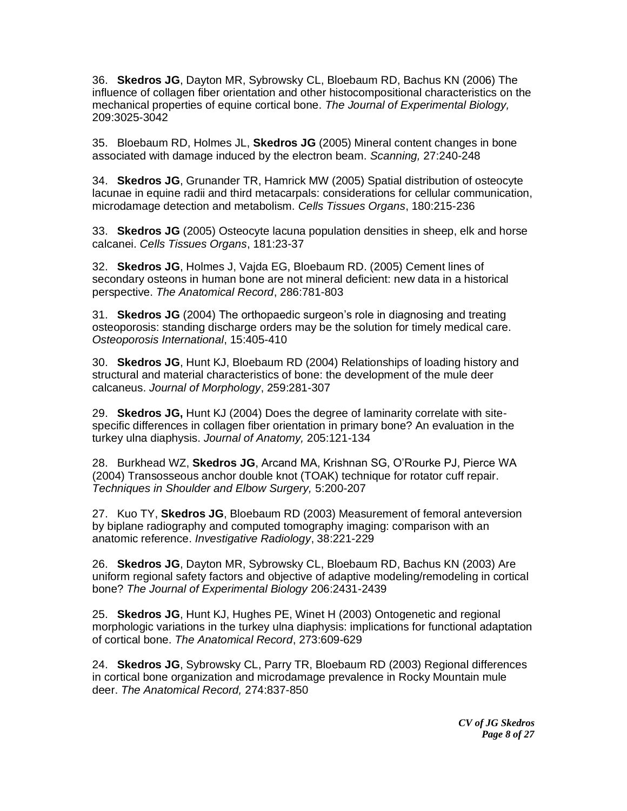36. **Skedros JG**, Dayton MR, Sybrowsky CL, Bloebaum RD, Bachus KN (2006) The influence of collagen fiber orientation and other histocompositional characteristics on the mechanical properties of equine cortical bone. *The Journal of Experimental Biology,*  209:3025-3042

35. Bloebaum RD, Holmes JL, **Skedros JG** (2005) Mineral content changes in bone associated with damage induced by the electron beam. *Scanning,* 27:240-248

34. **Skedros JG**, Grunander TR, Hamrick MW (2005) Spatial distribution of osteocyte lacunae in equine radii and third metacarpals: considerations for cellular communication, microdamage detection and metabolism. *Cells Tissues Organs*, 180:215-236

33. **Skedros JG** (2005) Osteocyte lacuna population densities in sheep, elk and horse calcanei. *Cells Tissues Organs*, 181:23-37

32. **Skedros JG**, Holmes J, Vajda EG, Bloebaum RD. (2005) Cement lines of secondary osteons in human bone are not mineral deficient: new data in a historical perspective. *The Anatomical Record*, 286:781-803

31. **Skedros JG** (2004) The orthopaedic surgeon's role in diagnosing and treating osteoporosis: standing discharge orders may be the solution for timely medical care. *Osteoporosis International*, 15:405-410

30. **Skedros JG**, Hunt KJ, Bloebaum RD (2004) Relationships of loading history and structural and material characteristics of bone: the development of the mule deer calcaneus. *Journal of Morphology*, 259:281-307

29. **Skedros JG,** Hunt KJ (2004) Does the degree of laminarity correlate with sitespecific differences in collagen fiber orientation in primary bone? An evaluation in the turkey ulna diaphysis. *Journal of Anatomy,* 205:121-134

28. Burkhead WZ, **Skedros JG**, Arcand MA, Krishnan SG, O'Rourke PJ, Pierce WA (2004) Transosseous anchor double knot (TOAK) technique for rotator cuff repair. *Techniques in Shoulder and Elbow Surgery,* 5:200-207

27. Kuo TY, **Skedros JG**, Bloebaum RD (2003) Measurement of femoral anteversion by biplane radiography and computed tomography imaging: comparison with an anatomic reference. *Investigative Radiology*, 38:221-229

26. **Skedros JG**, Dayton MR, Sybrowsky CL, Bloebaum RD, Bachus KN (2003) Are uniform regional safety factors and objective of adaptive modeling/remodeling in cortical bone? *The Journal of Experimental Biology* 206:2431-2439

25. **Skedros JG**, Hunt KJ, Hughes PE, Winet H (2003) Ontogenetic and regional morphologic variations in the turkey ulna diaphysis: implications for functional adaptation of cortical bone. *The Anatomical Record*, 273:609-629

24. **Skedros JG**, Sybrowsky CL, Parry TR, Bloebaum RD (2003) Regional differences in cortical bone organization and microdamage prevalence in Rocky Mountain mule deer. *The Anatomical Record,* 274:837-850

> *CV of JG Skedros Page 8 of 27*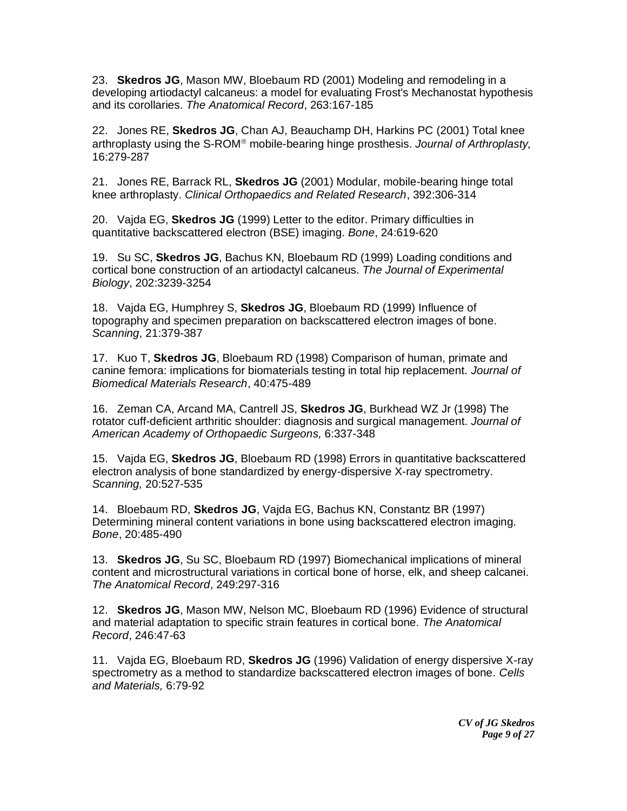23. **Skedros JG**, Mason MW, Bloebaum RD (2001) Modeling and remodeling in a developing artiodactyl calcaneus: a model for evaluating Frost's Mechanostat hypothesis and its corollaries. *The Anatomical Record*, 263:167-185

22. Jones RE, **Skedros JG**, Chan AJ, Beauchamp DH, Harkins PC (2001) Total knee arthroplasty using the S-ROM<sup>®</sup> mobile-bearing hinge prosthesis. *Journal of Arthroplasty*, 16:279-287

21. Jones RE, Barrack RL, **Skedros JG** (2001) Modular, mobile-bearing hinge total knee arthroplasty. *Clinical Orthopaedics and Related Research*, 392:306-314

20. Vajda EG, **Skedros JG** (1999) Letter to the editor. Primary difficulties in quantitative backscattered electron (BSE) imaging. *Bone*, 24:619-620

19. Su SC, **Skedros JG**, Bachus KN, Bloebaum RD (1999) Loading conditions and cortical bone construction of an artiodactyl calcaneus. *The Journal of Experimental Biology*, 202:3239-3254

18. Vajda EG, Humphrey S, **Skedros JG**, Bloebaum RD (1999) Influence of topography and specimen preparation on backscattered electron images of bone. *Scanning*, 21:379-387

17. Kuo T, **Skedros JG**, Bloebaum RD (1998) Comparison of human, primate and canine femora: implications for biomaterials testing in total hip replacement. *Journal of Biomedical Materials Research*, 40:475-489

16. Zeman CA, Arcand MA, Cantrell JS, **Skedros JG**, Burkhead WZ Jr (1998) The rotator cuff-deficient arthritic shoulder: diagnosis and surgical management. *Journal of American Academy of Orthopaedic Surgeons,* 6:337-348

15. Vajda EG, **Skedros JG**, Bloebaum RD (1998) Errors in quantitative backscattered electron analysis of bone standardized by energy-dispersive X-ray spectrometry. *Scanning,* 20:527-535

14. Bloebaum RD, **Skedros JG**, Vajda EG, Bachus KN, Constantz BR (1997) Determining mineral content variations in bone using backscattered electron imaging. *Bone*, 20:485-490

13. **Skedros JG**, Su SC, Bloebaum RD (1997) Biomechanical implications of mineral content and microstructural variations in cortical bone of horse, elk, and sheep calcanei. *The Anatomical Record*, 249:297-316

12. **Skedros JG**, Mason MW, Nelson MC, Bloebaum RD (1996) Evidence of structural and material adaptation to specific strain features in cortical bone. *The Anatomical Record*, 246:47-63

11. Vajda EG, Bloebaum RD, **Skedros JG** (1996) Validation of energy dispersive X-ray spectrometry as a method to standardize backscattered electron images of bone. *Cells and Materials,* 6:79-92

> *CV of JG Skedros Page 9 of 27*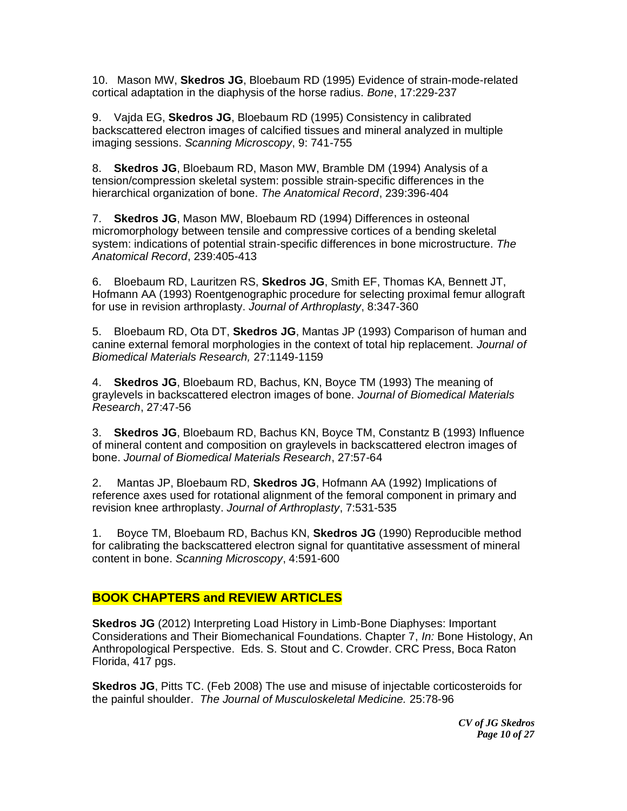10. Mason MW, **Skedros JG**, Bloebaum RD (1995) Evidence of strain-mode-related cortical adaptation in the diaphysis of the horse radius. *Bone*, 17:229-237

9. Vajda EG, **Skedros JG**, Bloebaum RD (1995) Consistency in calibrated backscattered electron images of calcified tissues and mineral analyzed in multiple imaging sessions. *Scanning Microscopy*, 9: 741-755

8. **Skedros JG**, Bloebaum RD, Mason MW, Bramble DM (1994) Analysis of a tension/compression skeletal system: possible strain-specific differences in the hierarchical organization of bone. *The Anatomical Record*, 239:396-404

7. **Skedros JG**, Mason MW, Bloebaum RD (1994) Differences in osteonal micromorphology between tensile and compressive cortices of a bending skeletal system: indications of potential strain-specific differences in bone microstructure. *The Anatomical Record*, 239:405-413

6. Bloebaum RD, Lauritzen RS, **Skedros JG**, Smith EF, Thomas KA, Bennett JT, Hofmann AA (1993) Roentgenographic procedure for selecting proximal femur allograft for use in revision arthroplasty. *Journal of Arthroplasty*, 8:347-360

5. Bloebaum RD, Ota DT, **Skedros JG**, Mantas JP (1993) Comparison of human and canine external femoral morphologies in the context of total hip replacement. *Journal of Biomedical Materials Research,* 27:1149-1159

4. **Skedros JG**, Bloebaum RD, Bachus, KN, Boyce TM (1993) The meaning of graylevels in backscattered electron images of bone. *Journal of Biomedical Materials Research*, 27:47-56

3. **Skedros JG**, Bloebaum RD, Bachus KN, Boyce TM, Constantz B (1993) Influence of mineral content and composition on graylevels in backscattered electron images of bone. *Journal of Biomedical Materials Research*, 27:57-64

2. Mantas JP, Bloebaum RD, **Skedros JG**, Hofmann AA (1992) Implications of reference axes used for rotational alignment of the femoral component in primary and revision knee arthroplasty. *Journal of Arthroplasty*, 7:531-535

1. Boyce TM, Bloebaum RD, Bachus KN, **Skedros JG** (1990) Reproducible method for calibrating the backscattered electron signal for quantitative assessment of mineral content in bone. *Scanning Microscopy*, 4:591-600

### **BOOK CHAPTERS and REVIEW ARTICLES**

**Skedros JG** (2012) Interpreting Load History in Limb-Bone Diaphyses: Important Considerations and Their Biomechanical Foundations. Chapter 7, *In:* Bone Histology, An Anthropological Perspective. Eds. S. Stout and C. Crowder. CRC Press, Boca Raton Florida, 417 pgs.

**Skedros JG**, Pitts TC. (Feb 2008) The use and misuse of injectable corticosteroids for the painful shoulder. *The Journal of Musculoskeletal Medicine.* 25:78-96

> *CV of JG Skedros Page 10 of 27*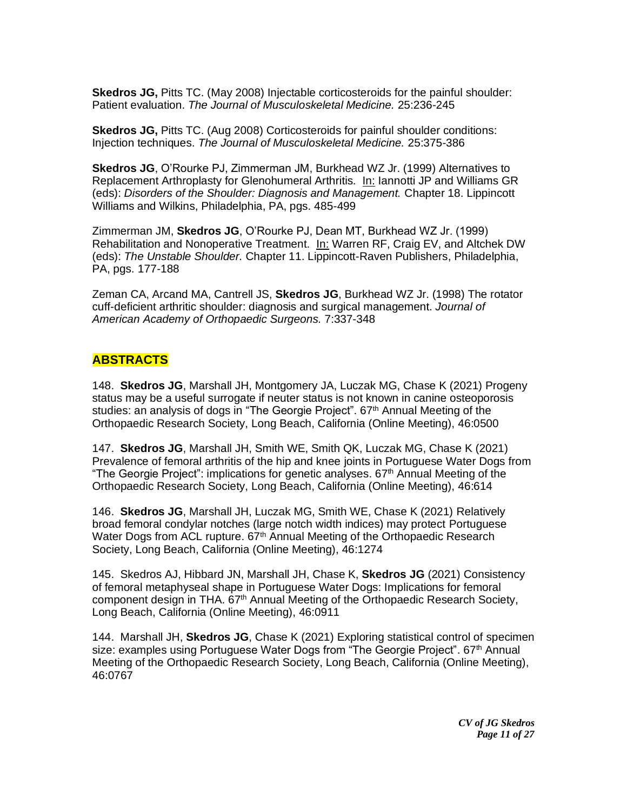**Skedros JG,** Pitts TC. (May 2008) Injectable corticosteroids for the painful shoulder: Patient evaluation. *The Journal of Musculoskeletal Medicine.* 25:236-245

**Skedros JG,** Pitts TC. (Aug 2008) Corticosteroids for painful shoulder conditions: Injection techniques. *The Journal of Musculoskeletal Medicine.* 25:375-386

**Skedros JG**, O'Rourke PJ, Zimmerman JM, Burkhead WZ Jr. (1999) Alternatives to Replacement Arthroplasty for Glenohumeral Arthritis. In: Iannotti JP and Williams GR (eds): *Disorders of the Shoulder: Diagnosis and Management.* Chapter 18. Lippincott Williams and Wilkins, Philadelphia, PA, pgs. 485-499

Zimmerman JM, **Skedros JG**, O'Rourke PJ, Dean MT, Burkhead WZ Jr. (1999) Rehabilitation and Nonoperative Treatment. In: Warren RF, Craig EV, and Altchek DW (eds): *The Unstable Shoulder.* Chapter 11. Lippincott-Raven Publishers, Philadelphia, PA, pgs. 177-188

Zeman CA, Arcand MA, Cantrell JS, **Skedros JG**, Burkhead WZ Jr. (1998) The rotator cuff-deficient arthritic shoulder: diagnosis and surgical management. *Journal of American Academy of Orthopaedic Surgeons.* 7:337-348

### **ABSTRACTS**

148. **Skedros JG**, Marshall JH, Montgomery JA, Luczak MG, Chase K (2021) Progeny status may be a useful surrogate if neuter status is not known in canine osteoporosis studies: an analysis of dogs in "The Georgie Project".  $67<sup>th</sup>$  Annual Meeting of the Orthopaedic Research Society, Long Beach, California (Online Meeting), 46:0500

147. **Skedros JG**, Marshall JH, Smith WE, Smith QK, Luczak MG, Chase K (2021) Prevalence of femoral arthritis of the hip and knee joints in Portuguese Water Dogs from "The Georgie Project": implications for genetic analyses.  $67<sup>th</sup>$  Annual Meeting of the Orthopaedic Research Society, Long Beach, California (Online Meeting), 46:614

146. **Skedros JG**, Marshall JH, Luczak MG, Smith WE, Chase K (2021) Relatively broad femoral condylar notches (large notch width indices) may protect Portuguese Water Dogs from ACL rupture. 67<sup>th</sup> Annual Meeting of the Orthopaedic Research Society, Long Beach, California (Online Meeting), 46:1274

145. Skedros AJ, Hibbard JN, Marshall JH, Chase K, **Skedros JG** (2021) Consistency of femoral metaphyseal shape in Portuguese Water Dogs: Implications for femoral component design in THA. 67<sup>th</sup> Annual Meeting of the Orthopaedic Research Society, Long Beach, California (Online Meeting), 46:0911

144. Marshall JH, **Skedros JG**, Chase K (2021) Exploring statistical control of specimen size: examples using Portuguese Water Dogs from "The Georgie Project".  $67<sup>th</sup>$  Annual Meeting of the Orthopaedic Research Society, Long Beach, California (Online Meeting), 46:0767

> *CV of JG Skedros Page 11 of 27*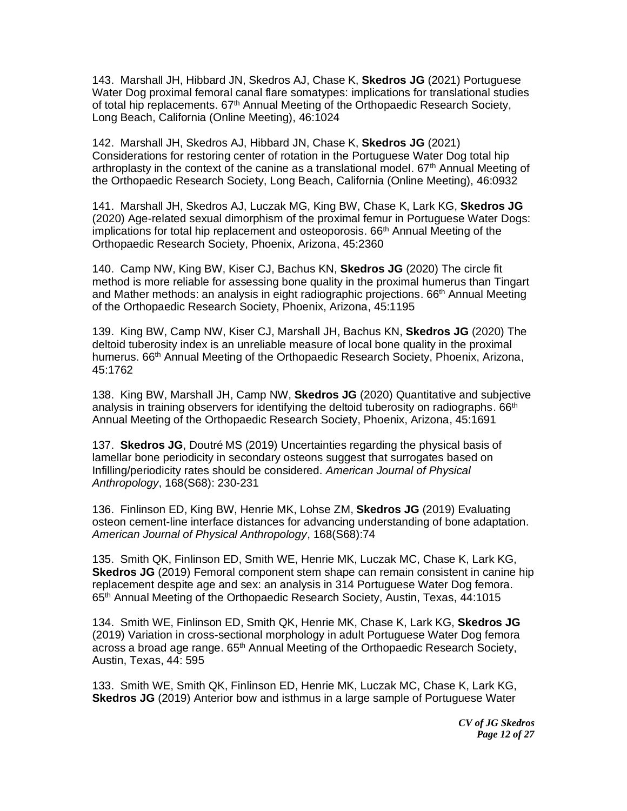143. Marshall JH, Hibbard JN, Skedros AJ, Chase K, **Skedros JG** (2021) Portuguese Water Dog proximal femoral canal flare somatypes: implications for translational studies of total hip replacements.  $67<sup>th</sup>$  Annual Meeting of the Orthopaedic Research Society, Long Beach, California (Online Meeting), 46:1024

142. Marshall JH, Skedros AJ, Hibbard JN, Chase K, **Skedros JG** (2021) Considerations for restoring center of rotation in the Portuguese Water Dog total hip arthroplasty in the context of the canine as a translational model.  $67<sup>th</sup>$  Annual Meeting of the Orthopaedic Research Society, Long Beach, California (Online Meeting), 46:0932

141. Marshall JH, Skedros AJ, Luczak MG, King BW, Chase K, Lark KG, **Skedros JG** (2020) Age-related sexual dimorphism of the proximal femur in Portuguese Water Dogs: implications for total hip replacement and osteoporosis.  $66<sup>th</sup>$  Annual Meeting of the Orthopaedic Research Society, Phoenix, Arizona, 45:2360

140. Camp NW, King BW, Kiser CJ, Bachus KN, **Skedros JG** (2020) The circle fit method is more reliable for assessing bone quality in the proximal humerus than Tingart and Mather methods: an analysis in eight radiographic projections. 66th Annual Meeting of the Orthopaedic Research Society, Phoenix, Arizona, 45:1195

139. King BW, Camp NW, Kiser CJ, Marshall JH, Bachus KN, **Skedros JG** (2020) The deltoid tuberosity index is an unreliable measure of local bone quality in the proximal humerus. 66th Annual Meeting of the Orthopaedic Research Society, Phoenix, Arizona, 45:1762

138. King BW, Marshall JH, Camp NW, **Skedros JG** (2020) Quantitative and subjective analysis in training observers for identifying the deltoid tuberosity on radiographs. 66<sup>th</sup> Annual Meeting of the Orthopaedic Research Society, Phoenix, Arizona, 45:1691

137. **Skedros JG**, Doutré MS (2019) Uncertainties regarding the physical basis of lamellar bone periodicity in secondary osteons suggest that surrogates based on Infilling/periodicity rates should be considered. *American Journal of Physical Anthropology*, 168(S68): 230-231

136. Finlinson ED, King BW, Henrie MK, Lohse ZM, **Skedros JG** (2019) Evaluating osteon cement-line interface distances for advancing understanding of bone adaptation. *American Journal of Physical Anthropology*, 168(S68):74

135. Smith QK, Finlinson ED, Smith WE, Henrie MK, Luczak MC, Chase K, Lark KG, **Skedros JG** (2019) Femoral component stem shape can remain consistent in canine hip replacement despite age and sex: an analysis in 314 Portuguese Water Dog femora. 65th Annual Meeting of the Orthopaedic Research Society, Austin, Texas, 44:1015

134. Smith WE, Finlinson ED, Smith QK, Henrie MK, Chase K, Lark KG, **Skedros JG** (2019) Variation in cross-sectional morphology in adult Portuguese Water Dog femora across a broad age range. 65<sup>th</sup> Annual Meeting of the Orthopaedic Research Society, Austin, Texas, 44: 595

133. Smith WE, Smith QK, Finlinson ED, Henrie MK, Luczak MC, Chase K, Lark KG, **Skedros JG** (2019) Anterior bow and isthmus in a large sample of Portuguese Water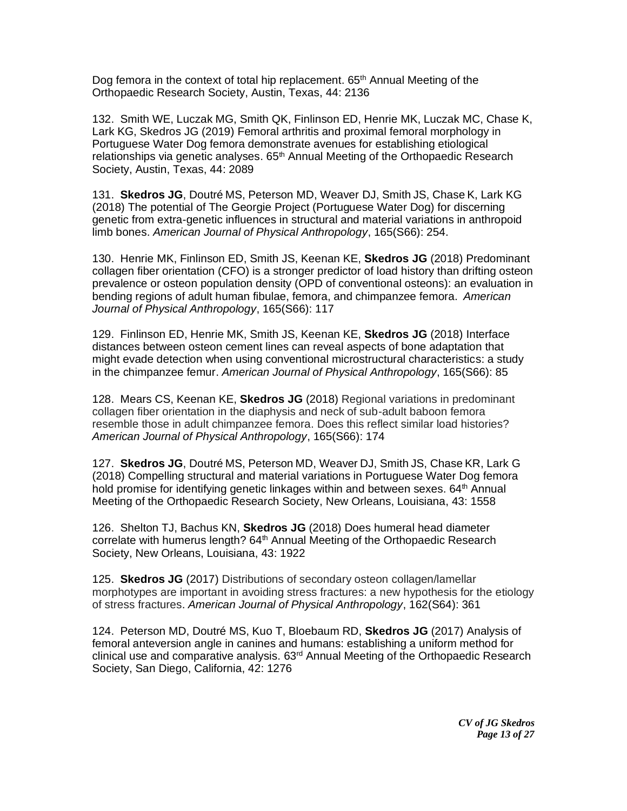Dog femora in the context of total hip replacement.  $65<sup>th</sup>$  Annual Meeting of the Orthopaedic Research Society, Austin, Texas, 44: 2136

132. Smith WE, Luczak MG, Smith QK, Finlinson ED, Henrie MK, Luczak MC, Chase K, Lark KG, Skedros JG (2019) Femoral arthritis and proximal femoral morphology in Portuguese Water Dog femora demonstrate avenues for establishing etiological relationships via genetic analyses. 65<sup>th</sup> Annual Meeting of the Orthopaedic Research Society, Austin, Texas, 44: 2089

131. **Skedros JG**, Doutré MS, Peterson MD, Weaver DJ, Smith JS, Chase K, Lark KG (2018) The potential of The Georgie Project (Portuguese Water Dog) for discerning genetic from extra-genetic influences in structural and material variations in anthropoid limb bones. *American Journal of Physical Anthropology*, 165(S66): 254.

130. Henrie MK, Finlinson ED, Smith JS, Keenan KE, **Skedros JG** (2018) Predominant collagen fiber orientation (CFO) is a stronger predictor of load history than drifting osteon prevalence or osteon population density (OPD of conventional osteons): an evaluation in bending regions of adult human fibulae, femora, and chimpanzee femora. *American Journal of Physical Anthropology*, 165(S66): 117

129. Finlinson ED, Henrie MK, Smith JS, Keenan KE, **Skedros JG** (2018) Interface distances between osteon cement lines can reveal aspects of bone adaptation that might evade detection when using conventional microstructural characteristics: a study in the chimpanzee femur. *American Journal of Physical Anthropology*, 165(S66): 85

128. Mears CS, Keenan KE, **Skedros JG** (2018) Regional variations in predominant collagen fiber orientation in the diaphysis and neck of sub-adult baboon femora resemble those in adult chimpanzee femora. Does this reflect similar load histories? *American Journal of Physical Anthropology*, 165(S66): 174

127. **Skedros JG**, Doutré MS, Peterson MD, Weaver DJ, Smith JS, Chase KR, Lark G (2018) Compelling structural and material variations in Portuguese Water Dog femora hold promise for identifying genetic linkages within and between sexes. 64<sup>th</sup> Annual Meeting of the Orthopaedic Research Society, New Orleans, Louisiana, 43: 1558

126. Shelton TJ, Bachus KN, **Skedros JG** (2018) Does humeral head diameter correlate with humerus length? 64<sup>th</sup> Annual Meeting of the Orthopaedic Research Society, New Orleans, Louisiana, 43: 1922

125. **Skedros JG** (2017) Distributions of secondary osteon collagen/lamellar morphotypes are important in avoiding stress fractures: a new hypothesis for the etiology of stress fractures. *American Journal of Physical Anthropology*, 162(S64): 361

124. Peterson MD, Doutré MS, Kuo T, Bloebaum RD, **Skedros JG** (2017) Analysis of femoral anteversion angle in canines and humans: establishing a uniform method for clinical use and comparative analysis.  $63<sup>rd</sup>$  Annual Meeting of the Orthopaedic Research Society, San Diego, California, 42: 1276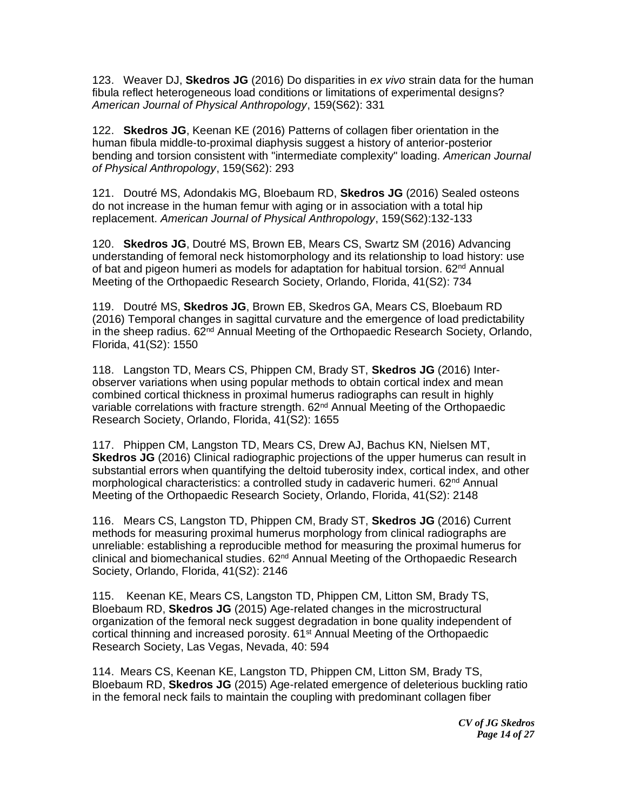123. Weaver DJ, **Skedros JG** (2016) Do disparities in *ex vivo* strain data for the human fibula reflect heterogeneous load conditions or limitations of experimental designs? *American Journal of Physical Anthropology*, 159(S62): 331

122. **Skedros JG**, Keenan KE (2016) Patterns of collagen fiber orientation in the human fibula middle-to-proximal diaphysis suggest a history of anterior-posterior bending and torsion consistent with "intermediate complexity" loading. *American Journal of Physical Anthropology*, 159(S62): 293

121. Doutré MS, Adondakis MG, Bloebaum RD, **Skedros JG** (2016) Sealed osteons do not increase in the human femur with aging or in association with a total hip replacement. *American Journal of Physical Anthropology*, 159(S62):132-133

120. **Skedros JG**, Doutré MS, Brown EB, Mears CS, Swartz SM (2016) Advancing understanding of femoral neck histomorphology and its relationship to load history: use of bat and pigeon humeri as models for adaptation for habitual torsion.  $62<sup>nd</sup>$  Annual Meeting of the Orthopaedic Research Society, Orlando, Florida, 41(S2): 734

119. Doutré MS, **Skedros JG**, Brown EB, Skedros GA, Mears CS, Bloebaum RD (2016) Temporal changes in sagittal curvature and the emergence of load predictability in the sheep radius. 62nd Annual Meeting of the Orthopaedic Research Society, Orlando, Florida, 41(S2): 1550

118. Langston TD, Mears CS, Phippen CM, Brady ST, **Skedros JG** (2016) Interobserver variations when using popular methods to obtain cortical index and mean combined cortical thickness in proximal humerus radiographs can result in highly variable correlations with fracture strength. 62nd Annual Meeting of the Orthopaedic Research Society, Orlando, Florida, 41(S2): 1655

117. Phippen CM, Langston TD, Mears CS, Drew AJ, Bachus KN, Nielsen MT, **Skedros JG** (2016) Clinical radiographic projections of the upper humerus can result in substantial errors when quantifying the deltoid tuberosity index, cortical index, and other morphological characteristics: a controlled study in cadaveric humeri. 62<sup>nd</sup> Annual Meeting of the Orthopaedic Research Society, Orlando, Florida, 41(S2): 2148

116. Mears CS, Langston TD, Phippen CM, Brady ST, **Skedros JG** (2016) Current methods for measuring proximal humerus morphology from clinical radiographs are unreliable: establishing a reproducible method for measuring the proximal humerus for  $clinical$  and biomechanical studies.  $62<sup>nd</sup>$  Annual Meeting of the Orthopaedic Research Society, Orlando, Florida, 41(S2): 2146

115. Keenan KE, Mears CS, Langston TD, Phippen CM, Litton SM, Brady TS, Bloebaum RD, **Skedros JG** (2015) Age-related changes in the microstructural organization of the femoral neck suggest degradation in bone quality independent of cortical thinning and increased porosity. 61st Annual Meeting of the Orthopaedic Research Society, Las Vegas, Nevada, 40: 594

114. Mears CS, Keenan KE, Langston TD, Phippen CM, Litton SM, Brady TS, Bloebaum RD, **Skedros JG** (2015) Age-related emergence of deleterious buckling ratio in the femoral neck fails to maintain the coupling with predominant collagen fiber

> *CV of JG Skedros Page 14 of 27*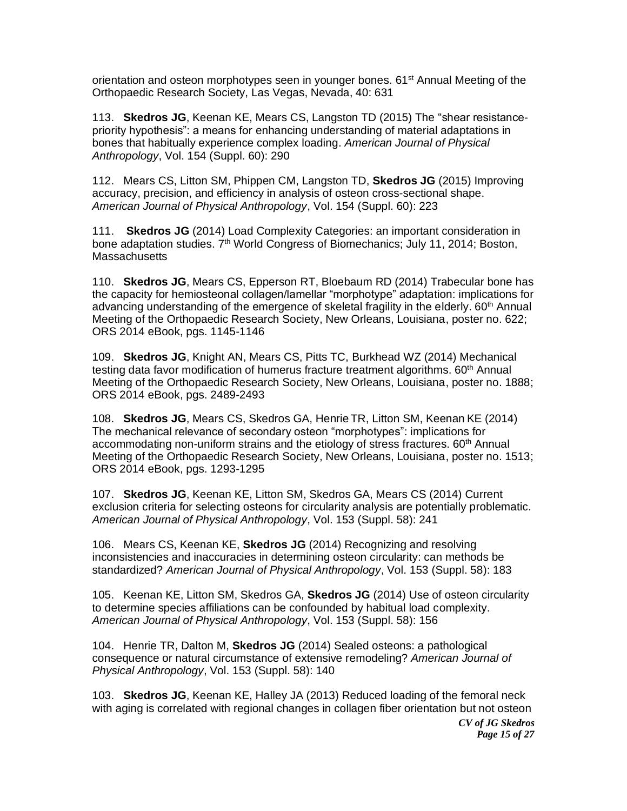orientation and osteon morphotypes seen in younger bones. 61<sup>st</sup> Annual Meeting of the Orthopaedic Research Society, Las Vegas, Nevada, 40: 631

113. **Skedros JG**, Keenan KE, Mears CS, Langston TD (2015) The "shear resistancepriority hypothesis": a means for enhancing understanding of material adaptations in bones that habitually experience complex loading. *American Journal of Physical Anthropology*, Vol. 154 (Suppl. 60): 290

112. Mears CS, Litton SM, Phippen CM, Langston TD, **Skedros JG** (2015) Improving accuracy, precision, and efficiency in analysis of osteon cross-sectional shape. *American Journal of Physical Anthropology*, Vol. 154 (Suppl. 60): 223

111. **Skedros JG** (2014) Load Complexity Categories: an important consideration in bone adaptation studies. 7<sup>th</sup> World Congress of Biomechanics; July 11, 2014; Boston, **Massachusetts** 

110. **Skedros JG**, Mears CS, Epperson RT, Bloebaum RD (2014) Trabecular bone has the capacity for hemiosteonal collagen/lamellar "morphotype" adaptation: implications for advancing understanding of the emergence of skeletal fragility in the elderly.  $60<sup>th</sup>$  Annual Meeting of the Orthopaedic Research Society, New Orleans, Louisiana, poster no. 622; ORS 2014 eBook, pgs. 1145-1146

109. **Skedros JG**, Knight AN, Mears CS, Pitts TC, Burkhead WZ (2014) Mechanical testing data favor modification of humerus fracture treatment algorithms. 60<sup>th</sup> Annual Meeting of the Orthopaedic Research Society, New Orleans, Louisiana, poster no. 1888; ORS 2014 eBook, pgs. 2489-2493

108. **Skedros JG**, Mears CS, Skedros GA, Henrie TR, Litton SM, Keenan KE (2014) The mechanical relevance of secondary osteon "morphotypes": implications for accommodating non-uniform strains and the etiology of stress fractures. 60<sup>th</sup> Annual Meeting of the Orthopaedic Research Society, New Orleans, Louisiana, poster no. 1513; ORS 2014 eBook, pgs. 1293-1295

107. **Skedros JG**, Keenan KE, Litton SM, Skedros GA, Mears CS (2014) Current exclusion criteria for selecting osteons for circularity analysis are potentially problematic. *American Journal of Physical Anthropology*, Vol. 153 (Suppl. 58): 241

106. Mears CS, Keenan KE, **Skedros JG** (2014) Recognizing and resolving inconsistencies and inaccuracies in determining osteon circularity: can methods be standardized? *American Journal of Physical Anthropology*, Vol. 153 (Suppl. 58): 183

105. Keenan KE, Litton SM, Skedros GA, **Skedros JG** (2014) Use of osteon circularity to determine species affiliations can be confounded by habitual load complexity. *American Journal of Physical Anthropology*, Vol. 153 (Suppl. 58): 156

104. Henrie TR, Dalton M, **Skedros JG** (2014) Sealed osteons: a pathological consequence or natural circumstance of extensive remodeling? *American Journal of Physical Anthropology*, Vol. 153 (Suppl. 58): 140

103. **Skedros JG**, Keenan KE, Halley JA (2013) Reduced loading of the femoral neck with aging is correlated with regional changes in collagen fiber orientation but not osteon

> *CV of JG Skedros Page 15 of 27*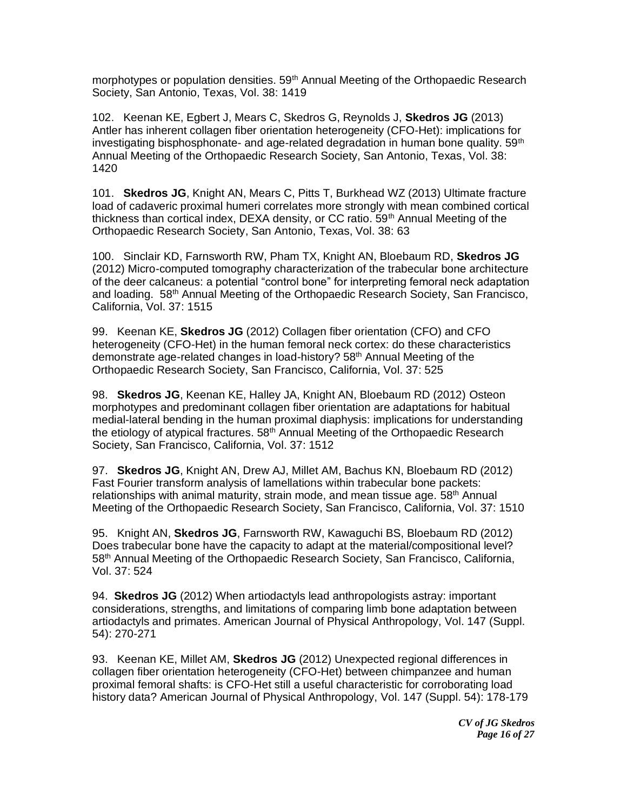morphotypes or population densities. 59<sup>th</sup> Annual Meeting of the Orthopaedic Research Society, San Antonio, Texas, Vol. 38: 1419

102. Keenan KE, Egbert J, Mears C, Skedros G, Reynolds J, **Skedros JG** (2013) Antler has inherent collagen fiber orientation heterogeneity (CFO-Het): implications for investigating bisphosphonate- and age-related degradation in human bone quality.  $59<sup>th</sup>$ Annual Meeting of the Orthopaedic Research Society, San Antonio, Texas, Vol. 38: 1420

101. **Skedros JG**, Knight AN, Mears C, Pitts T, Burkhead WZ (2013) Ultimate fracture load of cadaveric proximal humeri correlates more strongly with mean combined cortical thickness than cortical index, DEXA density, or CC ratio.  $59<sup>th</sup>$  Annual Meeting of the Orthopaedic Research Society, San Antonio, Texas, Vol. 38: 63

100. Sinclair KD, Farnsworth RW, Pham TX, Knight AN, Bloebaum RD, **Skedros JG** (2012) Micro-computed tomography characterization of the trabecular bone architecture of the deer calcaneus: a potential "control bone" for interpreting femoral neck adaptation and loading. 58th Annual Meeting of the Orthopaedic Research Society, San Francisco, California, Vol. 37: 1515

99. Keenan KE, **Skedros JG** (2012) Collagen fiber orientation (CFO) and CFO heterogeneity (CFO-Het) in the human femoral neck cortex: do these characteristics demonstrate age-related changes in load-history? 58th Annual Meeting of the Orthopaedic Research Society, San Francisco, California, Vol. 37: 525

98. **Skedros JG**, Keenan KE, Halley JA, Knight AN, Bloebaum RD (2012) Osteon morphotypes and predominant collagen fiber orientation are adaptations for habitual medial-lateral bending in the human proximal diaphysis: implications for understanding the etiology of atypical fractures. 58<sup>th</sup> Annual Meeting of the Orthopaedic Research Society, San Francisco, California, Vol. 37: 1512

97. **Skedros JG**, Knight AN, Drew AJ, Millet AM, Bachus KN, Bloebaum RD (2012) Fast Fourier transform analysis of lamellations within trabecular bone packets: relationships with animal maturity, strain mode, and mean tissue age. 58<sup>th</sup> Annual Meeting of the Orthopaedic Research Society, San Francisco, California, Vol. 37: 1510

95. Knight AN, **Skedros JG**, Farnsworth RW, Kawaguchi BS, Bloebaum RD (2012) Does trabecular bone have the capacity to adapt at the material/compositional level? 58<sup>th</sup> Annual Meeting of the Orthopaedic Research Society, San Francisco, California, Vol. 37: 524

94. **Skedros JG** (2012) When artiodactyls lead anthropologists astray: important considerations, strengths, and limitations of comparing limb bone adaptation between artiodactyls and primates. American Journal of Physical Anthropology, Vol. 147 (Suppl. 54): 270-271

93. Keenan KE, Millet AM, **Skedros JG** (2012) Unexpected regional differences in collagen fiber orientation heterogeneity (CFO-Het) between chimpanzee and human proximal femoral shafts: is CFO-Het still a useful characteristic for corroborating load history data? American Journal of Physical Anthropology, Vol. 147 (Suppl. 54): 178-179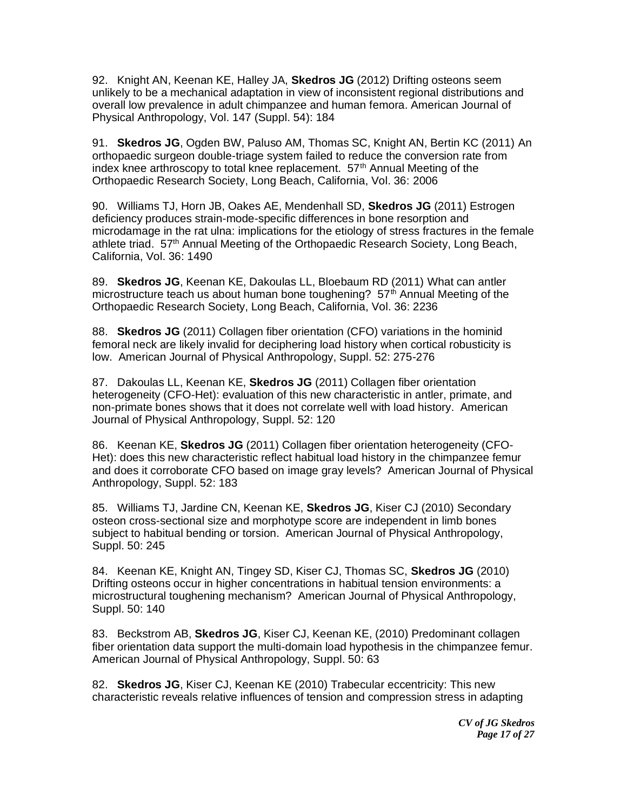92. Knight AN, Keenan KE, Halley JA, **Skedros JG** (2012) Drifting osteons seem unlikely to be a mechanical adaptation in view of inconsistent regional distributions and overall low prevalence in adult chimpanzee and human femora. American Journal of Physical Anthropology, Vol. 147 (Suppl. 54): 184

91. **Skedros JG**, Ogden BW, Paluso AM, Thomas SC, Knight AN, Bertin KC (2011) An orthopaedic surgeon double-triage system failed to reduce the conversion rate from index knee arthroscopy to total knee replacement. 57<sup>th</sup> Annual Meeting of the Orthopaedic Research Society, Long Beach, California, Vol. 36: 2006

90. Williams TJ, Horn JB, Oakes AE, Mendenhall SD, **Skedros JG** (2011) Estrogen deficiency produces strain-mode-specific differences in bone resorption and microdamage in the rat ulna: implications for the etiology of stress fractures in the female athlete triad. 57th Annual Meeting of the Orthopaedic Research Society, Long Beach, California, Vol. 36: 1490

89. **Skedros JG**, Keenan KE, Dakoulas LL, Bloebaum RD (2011) What can antler microstructure teach us about human bone toughening?  $57<sup>th</sup>$  Annual Meeting of the Orthopaedic Research Society, Long Beach, California, Vol. 36: 2236

88. **Skedros JG** (2011) Collagen fiber orientation (CFO) variations in the hominid femoral neck are likely invalid for deciphering load history when cortical robusticity is low. American Journal of Physical Anthropology, Suppl. 52: 275-276

87. Dakoulas LL, Keenan KE, **Skedros JG** (2011) Collagen fiber orientation heterogeneity (CFO-Het): evaluation of this new characteristic in antler, primate, and non-primate bones shows that it does not correlate well with load history. American Journal of Physical Anthropology, Suppl. 52: 120

86. Keenan KE, **Skedros JG** (2011) Collagen fiber orientation heterogeneity (CFO-Het): does this new characteristic reflect habitual load history in the chimpanzee femur and does it corroborate CFO based on image gray levels? American Journal of Physical Anthropology, Suppl. 52: 183

85. Williams TJ, Jardine CN, Keenan KE, **Skedros JG**, Kiser CJ (2010) Secondary osteon cross-sectional size and morphotype score are independent in limb bones subject to habitual bending or torsion. American Journal of Physical Anthropology, Suppl. 50: 245

84. Keenan KE, Knight AN, Tingey SD, Kiser CJ, Thomas SC, **Skedros JG** (2010) Drifting osteons occur in higher concentrations in habitual tension environments: a microstructural toughening mechanism? American Journal of Physical Anthropology, Suppl. 50: 140

83. Beckstrom AB, **Skedros JG**, Kiser CJ, Keenan KE, (2010) Predominant collagen fiber orientation data support the multi-domain load hypothesis in the chimpanzee femur. American Journal of Physical Anthropology, Suppl. 50: 63

82. **Skedros JG**, Kiser CJ, Keenan KE (2010) Trabecular eccentricity: This new characteristic reveals relative influences of tension and compression stress in adapting

> *CV of JG Skedros Page 17 of 27*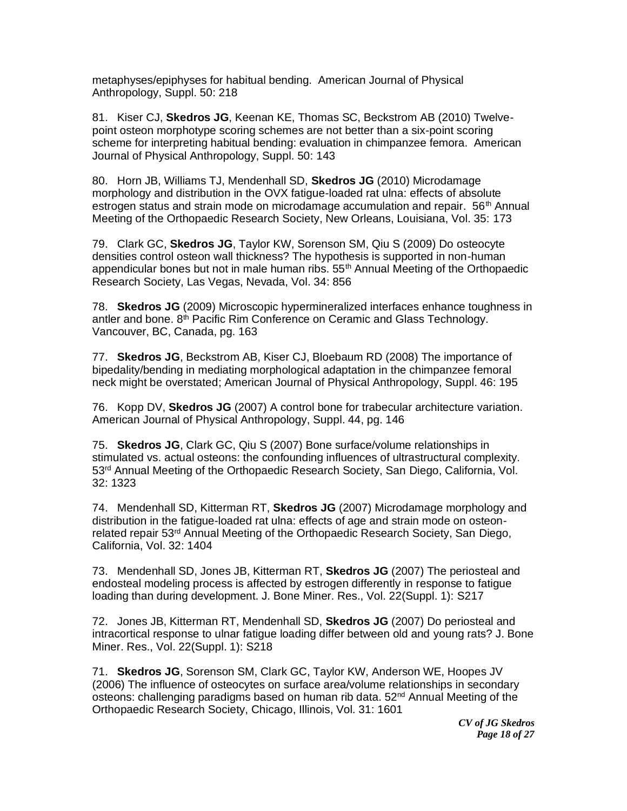metaphyses/epiphyses for habitual bending. American Journal of Physical Anthropology, Suppl. 50: 218

81. Kiser CJ, **Skedros JG**, Keenan KE, Thomas SC, Beckstrom AB (2010) Twelvepoint osteon morphotype scoring schemes are not better than a six-point scoring scheme for interpreting habitual bending: evaluation in chimpanzee femora. American Journal of Physical Anthropology, Suppl. 50: 143

80. Horn JB, Williams TJ, Mendenhall SD, **Skedros JG** (2010) Microdamage morphology and distribution in the OVX fatigue-loaded rat ulna: effects of absolute estrogen status and strain mode on microdamage accumulation and repair.  $56<sup>th</sup>$  Annual Meeting of the Orthopaedic Research Society, New Orleans, Louisiana, Vol. 35: 173

79. Clark GC, **Skedros JG**, Taylor KW, Sorenson SM, Qiu S (2009) Do osteocyte densities control osteon wall thickness? The hypothesis is supported in non-human appendicular bones but not in male human ribs. 55<sup>th</sup> Annual Meeting of the Orthopaedic Research Society, Las Vegas, Nevada, Vol. 34: 856

78. **Skedros JG** (2009) Microscopic hypermineralized interfaces enhance toughness in antler and bone.  $8<sup>th</sup>$  Pacific Rim Conference on Ceramic and Glass Technology. Vancouver, BC, Canada, pg. 163

77. **Skedros JG**, Beckstrom AB, Kiser CJ, Bloebaum RD (2008) The importance of bipedality/bending in mediating morphological adaptation in the chimpanzee femoral neck might be overstated; American Journal of Physical Anthropology, Suppl. 46: 195

76. Kopp DV, **Skedros JG** (2007) A control bone for trabecular architecture variation. American Journal of Physical Anthropology, Suppl. 44, pg. 146

75. **Skedros JG**, Clark GC, Qiu S (2007) Bone surface/volume relationships in stimulated vs. actual osteons: the confounding influences of ultrastructural complexity. 53<sup>rd</sup> Annual Meeting of the Orthopaedic Research Society, San Diego, California, Vol. 32: 1323

74. Mendenhall SD, Kitterman RT, **Skedros JG** (2007) Microdamage morphology and distribution in the fatigue-loaded rat ulna: effects of age and strain mode on osteonrelated repair 53<sup>rd</sup> Annual Meeting of the Orthopaedic Research Society, San Diego, California, Vol. 32: 1404

73. Mendenhall SD, Jones JB, Kitterman RT, **Skedros JG** (2007) The periosteal and endosteal modeling process is affected by estrogen differently in response to fatigue loading than during development. J. Bone Miner. Res., Vol. 22(Suppl. 1): S217

72. Jones JB, Kitterman RT, Mendenhall SD, **Skedros JG** (2007) Do periosteal and intracortical response to ulnar fatigue loading differ between old and young rats? J. Bone Miner. Res., Vol. 22(Suppl. 1): S218

71. **Skedros JG**, Sorenson SM, Clark GC, Taylor KW, Anderson WE, Hoopes JV (2006) The influence of osteocytes on surface area/volume relationships in secondary osteons: challenging paradigms based on human rib data. 52<sup>nd</sup> Annual Meeting of the Orthopaedic Research Society, Chicago, Illinois, Vol. 31: 1601

> *CV of JG Skedros Page 18 of 27*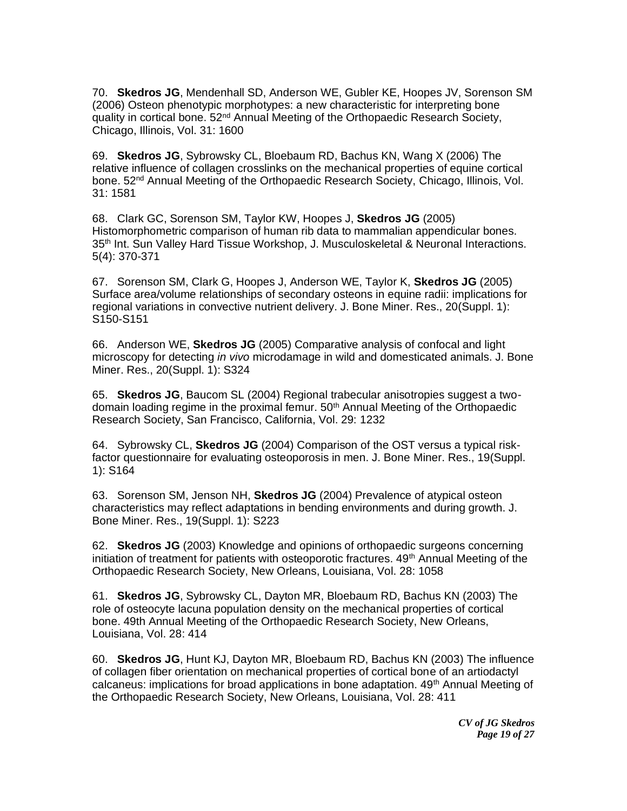70. **Skedros JG**, Mendenhall SD, Anderson WE, Gubler KE, Hoopes JV, Sorenson SM (2006) Osteon phenotypic morphotypes: a new characteristic for interpreting bone quality in cortical bone. 52<sup>nd</sup> Annual Meeting of the Orthopaedic Research Society, Chicago, Illinois, Vol. 31: 1600

69. **Skedros JG**, Sybrowsky CL, Bloebaum RD, Bachus KN, Wang X (2006) The relative influence of collagen crosslinks on the mechanical properties of equine cortical bone. 52<sup>nd</sup> Annual Meeting of the Orthopaedic Research Society, Chicago, Illinois, Vol. 31: 1581

68. Clark GC, Sorenson SM, Taylor KW, Hoopes J, **Skedros JG** (2005) Histomorphometric comparison of human rib data to mammalian appendicular bones. 35<sup>th</sup> Int. Sun Valley Hard Tissue Workshop, J. Musculoskeletal & Neuronal Interactions. 5(4): 370-371

67. Sorenson SM, Clark G, Hoopes J, Anderson WE, Taylor K, **Skedros JG** (2005) Surface area/volume relationships of secondary osteons in equine radii: implications for regional variations in convective nutrient delivery. J. Bone Miner. Res., 20(Suppl. 1): S150-S151

66. Anderson WE, **Skedros JG** (2005) Comparative analysis of confocal and light microscopy for detecting *in vivo* microdamage in wild and domesticated animals. J. Bone Miner. Res., 20(Suppl. 1): S324

65. **Skedros JG**, Baucom SL (2004) Regional trabecular anisotropies suggest a twodomain loading regime in the proximal femur. 50th Annual Meeting of the Orthopaedic Research Society, San Francisco, California, Vol. 29: 1232

64. Sybrowsky CL, **Skedros JG** (2004) Comparison of the OST versus a typical riskfactor questionnaire for evaluating osteoporosis in men. J. Bone Miner. Res., 19(Suppl. 1): S164

63. Sorenson SM, Jenson NH, **Skedros JG** (2004) Prevalence of atypical osteon characteristics may reflect adaptations in bending environments and during growth. J. Bone Miner. Res., 19(Suppl. 1): S223

62. **Skedros JG** (2003) Knowledge and opinions of orthopaedic surgeons concerning initiation of treatment for patients with osteoporotic fractures.  $49<sup>th</sup>$  Annual Meeting of the Orthopaedic Research Society, New Orleans, Louisiana, Vol. 28: 1058

61. **Skedros JG**, Sybrowsky CL, Dayton MR, Bloebaum RD, Bachus KN (2003) The role of osteocyte lacuna population density on the mechanical properties of cortical bone. 49th Annual Meeting of the Orthopaedic Research Society, New Orleans, Louisiana, Vol. 28: 414

60. **Skedros JG**, Hunt KJ, Dayton MR, Bloebaum RD, Bachus KN (2003) The influence of collagen fiber orientation on mechanical properties of cortical bone of an artiodactyl calcaneus: implications for broad applications in bone adaptation. 49<sup>th</sup> Annual Meeting of the Orthopaedic Research Society, New Orleans, Louisiana, Vol. 28: 411

> *CV of JG Skedros Page 19 of 27*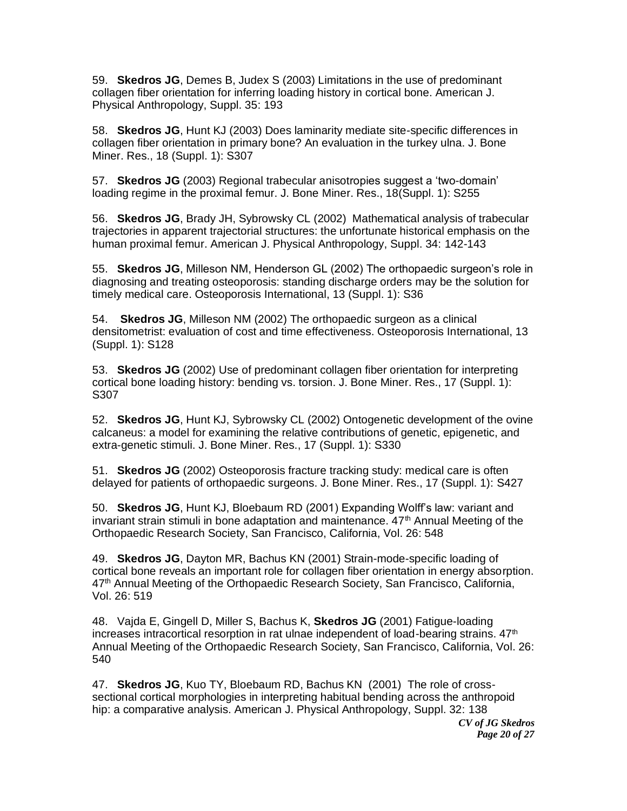59. **Skedros JG**, Demes B, Judex S (2003) Limitations in the use of predominant collagen fiber orientation for inferring loading history in cortical bone. American J. Physical Anthropology, Suppl. 35: 193

58. **Skedros JG**, Hunt KJ (2003) Does laminarity mediate site-specific differences in collagen fiber orientation in primary bone? An evaluation in the turkey ulna. J. Bone Miner. Res., 18 (Suppl. 1): S307

57. **Skedros JG** (2003) Regional trabecular anisotropies suggest a 'two-domain' loading regime in the proximal femur. J. Bone Miner. Res., 18(Suppl. 1): S255

56. **Skedros JG**, Brady JH, Sybrowsky CL (2002) Mathematical analysis of trabecular trajectories in apparent trajectorial structures: the unfortunate historical emphasis on the human proximal femur. American J. Physical Anthropology, Suppl. 34: 142-143

55. **Skedros JG**, Milleson NM, Henderson GL (2002) The orthopaedic surgeon's role in diagnosing and treating osteoporosis: standing discharge orders may be the solution for timely medical care. Osteoporosis International, 13 (Suppl. 1): S36

54. **Skedros JG**, Milleson NM (2002) The orthopaedic surgeon as a clinical densitometrist: evaluation of cost and time effectiveness. Osteoporosis International, 13 (Suppl. 1): S128

53. **Skedros JG** (2002) Use of predominant collagen fiber orientation for interpreting cortical bone loading history: bending vs. torsion. J. Bone Miner. Res., 17 (Suppl. 1): S307

52. **Skedros JG**, Hunt KJ, Sybrowsky CL (2002) Ontogenetic development of the ovine calcaneus: a model for examining the relative contributions of genetic, epigenetic, and extra-genetic stimuli. J. Bone Miner. Res., 17 (Suppl. 1): S330

51. **Skedros JG** (2002) Osteoporosis fracture tracking study: medical care is often delayed for patients of orthopaedic surgeons. J. Bone Miner. Res., 17 (Suppl. 1): S427

50. **Skedros JG**, Hunt KJ, Bloebaum RD (2001) Expanding Wolff's law: variant and invariant strain stimuli in bone adaptation and maintenance.  $47<sup>th</sup>$  Annual Meeting of the Orthopaedic Research Society, San Francisco, California, Vol. 26: 548

49. **Skedros JG**, Dayton MR, Bachus KN (2001) Strain-mode-specific loading of cortical bone reveals an important role for collagen fiber orientation in energy absorption. 47<sup>th</sup> Annual Meeting of the Orthopaedic Research Society, San Francisco, California, Vol. 26: 519

48. Vajda E, Gingell D, Miller S, Bachus K, **Skedros JG** (2001) Fatigue-loading increases intracortical resorption in rat ulnae independent of load-bearing strains.  $47<sup>th</sup>$ Annual Meeting of the Orthopaedic Research Society, San Francisco, California, Vol. 26: 540

47. **Skedros JG**, Kuo TY, Bloebaum RD, Bachus KN (2001) The role of crosssectional cortical morphologies in interpreting habitual bending across the anthropoid hip: a comparative analysis. American J. Physical Anthropology, Suppl. 32: 138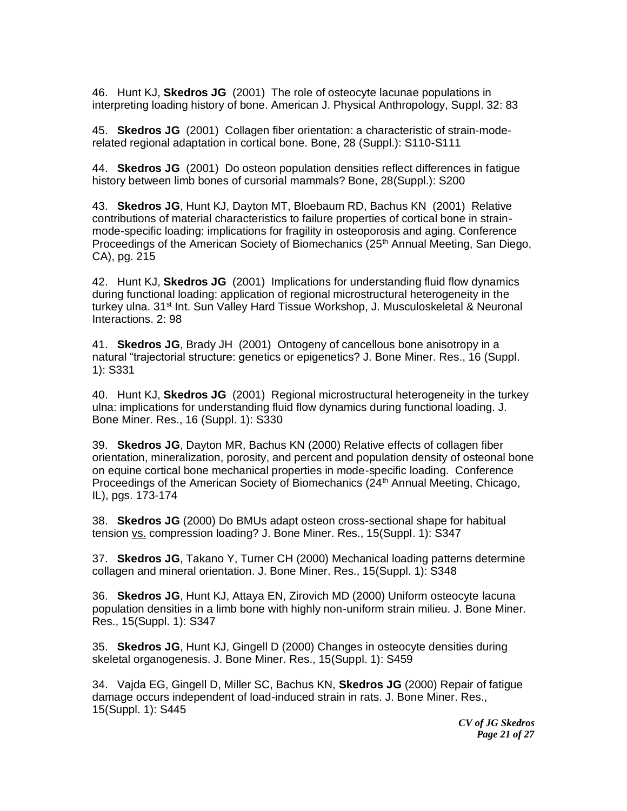46. Hunt KJ, **Skedros JG** (2001) The role of osteocyte lacunae populations in interpreting loading history of bone. American J. Physical Anthropology, Suppl. 32: 83

45. **Skedros JG** (2001) Collagen fiber orientation: a characteristic of strain-moderelated regional adaptation in cortical bone. Bone, 28 (Suppl.): S110-S111

44. **Skedros JG** (2001) Do osteon population densities reflect differences in fatigue history between limb bones of cursorial mammals? Bone, 28(Suppl.): S200

43. **Skedros JG**, Hunt KJ, Dayton MT, Bloebaum RD, Bachus KN (2001) Relative contributions of material characteristics to failure properties of cortical bone in strainmode-specific loading: implications for fragility in osteoporosis and aging. Conference Proceedings of the American Society of Biomechanics (25<sup>th</sup> Annual Meeting, San Diego, CA), pg. 215

42. Hunt KJ, **Skedros JG** (2001) Implications for understanding fluid flow dynamics during functional loading: application of regional microstructural heterogeneity in the turkey ulna. 31st Int. Sun Valley Hard Tissue Workshop, J. Musculoskeletal & Neuronal Interactions. 2: 98

41. **Skedros JG**, Brady JH (2001) Ontogeny of cancellous bone anisotropy in a natural "trajectorial structure: genetics or epigenetics? J. Bone Miner. Res., 16 (Suppl. 1): S331

40. Hunt KJ, **Skedros JG** (2001) Regional microstructural heterogeneity in the turkey ulna: implications for understanding fluid flow dynamics during functional loading. J. Bone Miner. Res., 16 (Suppl. 1): S330

39. **Skedros JG**, Dayton MR, Bachus KN (2000) Relative effects of collagen fiber orientation, mineralization, porosity, and percent and population density of osteonal bone on equine cortical bone mechanical properties in mode-specific loading. Conference Proceedings of the American Society of Biomechanics (24<sup>th</sup> Annual Meeting, Chicago, IL), pgs. 173-174

38. **Skedros JG** (2000) Do BMUs adapt osteon cross-sectional shape for habitual tension vs. compression loading? J. Bone Miner. Res., 15(Suppl. 1): S347

37. **Skedros JG**, Takano Y, Turner CH (2000) Mechanical loading patterns determine collagen and mineral orientation. J. Bone Miner. Res., 15(Suppl. 1): S348

36. **Skedros JG**, Hunt KJ, Attaya EN, Zirovich MD (2000) Uniform osteocyte lacuna population densities in a limb bone with highly non-uniform strain milieu. J. Bone Miner. Res., 15(Suppl. 1): S347

35. **Skedros JG**, Hunt KJ, Gingell D (2000) Changes in osteocyte densities during skeletal organogenesis. J. Bone Miner. Res., 15(Suppl. 1): S459

34. Vajda EG, Gingell D, Miller SC, Bachus KN, **Skedros JG** (2000) Repair of fatigue damage occurs independent of load-induced strain in rats. J. Bone Miner. Res., 15(Suppl. 1): S445

> *CV of JG Skedros Page 21 of 27*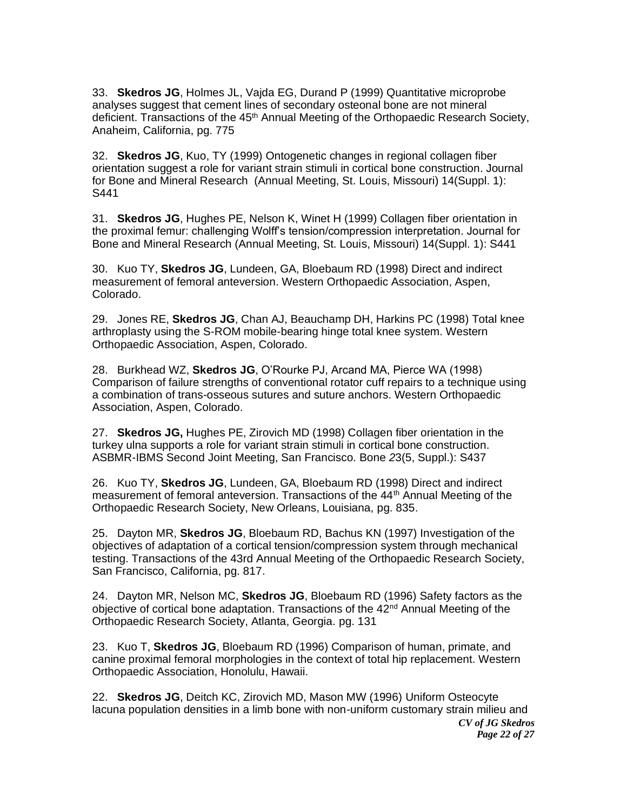33. **Skedros JG**, Holmes JL, Vajda EG, Durand P (1999) Quantitative microprobe analyses suggest that cement lines of secondary osteonal bone are not mineral deficient. Transactions of the 45<sup>th</sup> Annual Meeting of the Orthopaedic Research Society, Anaheim, California, pg. 775

32. **Skedros JG**, Kuo, TY (1999) Ontogenetic changes in regional collagen fiber orientation suggest a role for variant strain stimuli in cortical bone construction. Journal for Bone and Mineral Research (Annual Meeting, St. Louis, Missouri) 14(Suppl. 1): S441

31. **Skedros JG**, Hughes PE, Nelson K, Winet H (1999) Collagen fiber orientation in the proximal femur: challenging Wolff's tension/compression interpretation. Journal for Bone and Mineral Research (Annual Meeting, St. Louis, Missouri) 14(Suppl. 1): S441

30. Kuo TY, **Skedros JG**, Lundeen, GA, Bloebaum RD (1998) Direct and indirect measurement of femoral anteversion. Western Orthopaedic Association, Aspen, Colorado.

29. Jones RE, **Skedros JG**, Chan AJ, Beauchamp DH, Harkins PC (1998) Total knee arthroplasty using the S-ROM mobile-bearing hinge total knee system. Western Orthopaedic Association, Aspen, Colorado.

28. Burkhead WZ, **Skedros JG**, O'Rourke PJ, Arcand MA, Pierce WA (1998) Comparison of failure strengths of conventional rotator cuff repairs to a technique using a combination of trans-osseous sutures and suture anchors. Western Orthopaedic Association, Aspen, Colorado.

27. **Skedros JG,** Hughes PE, Zirovich MD (1998) Collagen fiber orientation in the turkey ulna supports a role for variant strain stimuli in cortical bone construction. ASBMR-IBMS Second Joint Meeting, San Francisco. Bone *2*3(5, Suppl.): S437

26. Kuo TY, **Skedros JG**, Lundeen, GA, Bloebaum RD (1998) Direct and indirect measurement of femoral anteversion. Transactions of the 44<sup>th</sup> Annual Meeting of the Orthopaedic Research Society, New Orleans, Louisiana, pg. 835.

25. Dayton MR, **Skedros JG**, Bloebaum RD, Bachus KN (1997) Investigation of the objectives of adaptation of a cortical tension/compression system through mechanical testing. Transactions of the 43rd Annual Meeting of the Orthopaedic Research Society, San Francisco, California, pg. 817.

24. Dayton MR, Nelson MC, **Skedros JG**, Bloebaum RD (1996) Safety factors as the objective of cortical bone adaptation. Transactions of the  $42<sup>nd</sup>$  Annual Meeting of the Orthopaedic Research Society, Atlanta, Georgia. pg. 131

23. Kuo T, **Skedros JG**, Bloebaum RD (1996) Comparison of human, primate, and canine proximal femoral morphologies in the context of total hip replacement. Western Orthopaedic Association, Honolulu, Hawaii.

*CV of JG Skedros Page 22 of 27* 22. **Skedros JG**, Deitch KC, Zirovich MD, Mason MW (1996) Uniform Osteocyte lacuna population densities in a limb bone with non-uniform customary strain milieu and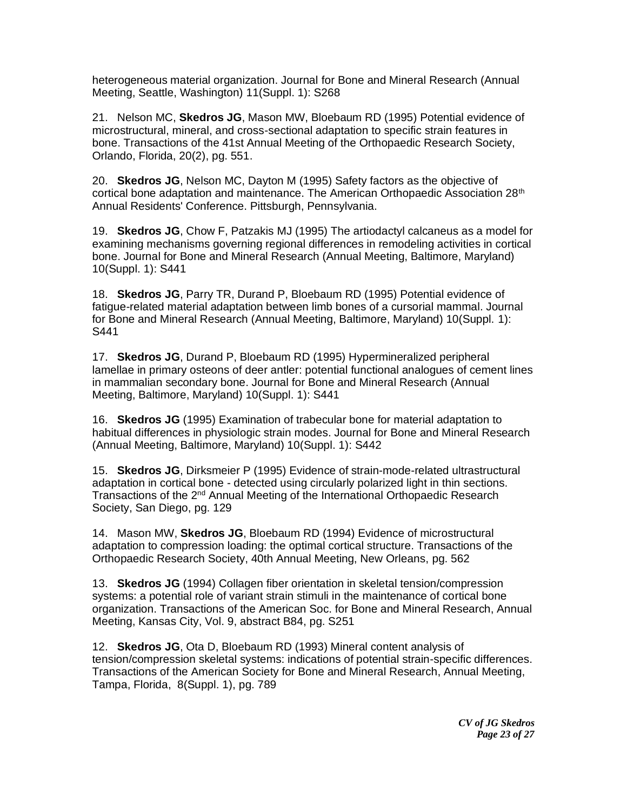heterogeneous material organization. Journal for Bone and Mineral Research (Annual Meeting, Seattle, Washington) 11(Suppl. 1): S268

21. Nelson MC, **Skedros JG**, Mason MW, Bloebaum RD (1995) Potential evidence of microstructural, mineral, and cross-sectional adaptation to specific strain features in bone. Transactions of the 41st Annual Meeting of the Orthopaedic Research Society, Orlando, Florida, 20(2), pg. 551.

20. **Skedros JG**, Nelson MC, Dayton M (1995) Safety factors as the objective of cortical bone adaptation and maintenance. The American Orthopaedic Association 28<sup>th</sup> Annual Residents' Conference. Pittsburgh, Pennsylvania.

19. **Skedros JG**, Chow F, Patzakis MJ (1995) The artiodactyl calcaneus as a model for examining mechanisms governing regional differences in remodeling activities in cortical bone. Journal for Bone and Mineral Research (Annual Meeting, Baltimore, Maryland) 10(Suppl. 1): S441

18. **Skedros JG**, Parry TR, Durand P, Bloebaum RD (1995) Potential evidence of fatigue-related material adaptation between limb bones of a cursorial mammal. Journal for Bone and Mineral Research (Annual Meeting, Baltimore, Maryland) 10(Suppl. 1): S441

17. **Skedros JG**, Durand P, Bloebaum RD (1995) Hypermineralized peripheral lamellae in primary osteons of deer antler: potential functional analogues of cement lines in mammalian secondary bone. Journal for Bone and Mineral Research (Annual Meeting, Baltimore, Maryland) 10(Suppl. 1): S441

16. **Skedros JG** (1995) Examination of trabecular bone for material adaptation to habitual differences in physiologic strain modes. Journal for Bone and Mineral Research (Annual Meeting, Baltimore, Maryland) 10(Suppl. 1): S442

15. **Skedros JG**, Dirksmeier P (1995) Evidence of strain-mode-related ultrastructural adaptation in cortical bone - detected using circularly polarized light in thin sections. Transactions of the 2<sup>nd</sup> Annual Meeting of the International Orthopaedic Research Society, San Diego, pg. 129

14. Mason MW, **Skedros JG**, Bloebaum RD (1994) Evidence of microstructural adaptation to compression loading: the optimal cortical structure. Transactions of the Orthopaedic Research Society, 40th Annual Meeting, New Orleans, pg. 562

13. **Skedros JG** (1994) Collagen fiber orientation in skeletal tension/compression systems: a potential role of variant strain stimuli in the maintenance of cortical bone organization. Transactions of the American Soc. for Bone and Mineral Research, Annual Meeting, Kansas City, Vol. 9, abstract B84, pg. S251

12. **Skedros JG**, Ota D, Bloebaum RD (1993) Mineral content analysis of tension/compression skeletal systems: indications of potential strain-specific differences. Transactions of the American Society for Bone and Mineral Research, Annual Meeting, Tampa, Florida, 8(Suppl. 1), pg. 789

> *CV of JG Skedros Page 23 of 27*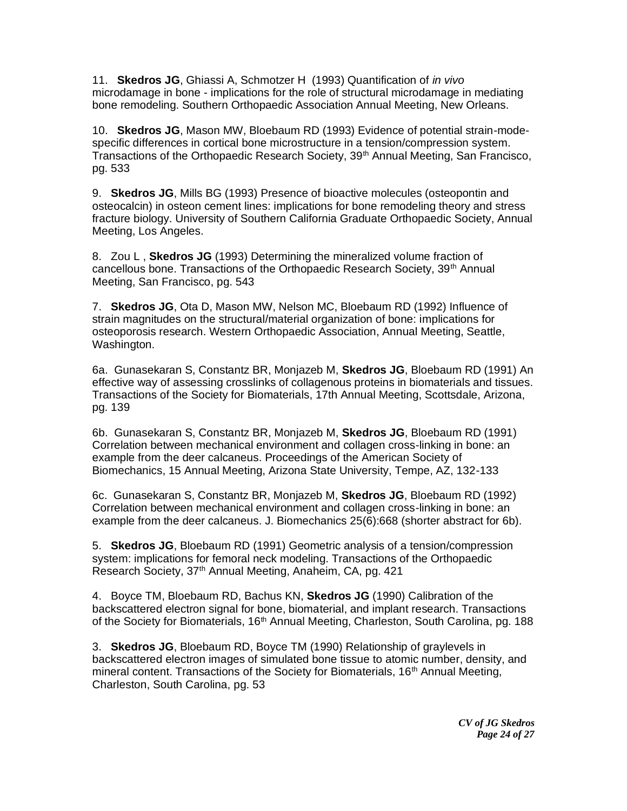11. **Skedros JG**, Ghiassi A, Schmotzer H (1993) Quantification of *in vivo* microdamage in bone - implications for the role of structural microdamage in mediating bone remodeling. Southern Orthopaedic Association Annual Meeting, New Orleans.

10. **Skedros JG**, Mason MW, Bloebaum RD (1993) Evidence of potential strain-modespecific differences in cortical bone microstructure in a tension/compression system. Transactions of the Orthopaedic Research Society, 39<sup>th</sup> Annual Meeting, San Francisco, pg. 533

9. **Skedros JG**, Mills BG (1993) Presence of bioactive molecules (osteopontin and osteocalcin) in osteon cement lines: implications for bone remodeling theory and stress fracture biology. University of Southern California Graduate Orthopaedic Society, Annual Meeting, Los Angeles.

8. Zou L , **Skedros JG** (1993) Determining the mineralized volume fraction of cancellous bone. Transactions of the Orthopaedic Research Society, 39<sup>th</sup> Annual Meeting, San Francisco, pg. 543

7. **Skedros JG**, Ota D, Mason MW, Nelson MC, Bloebaum RD (1992) Influence of strain magnitudes on the structural/material organization of bone: implications for osteoporosis research. Western Orthopaedic Association, Annual Meeting, Seattle, Washington.

6a. Gunasekaran S, Constantz BR, Monjazeb M, **Skedros JG**, Bloebaum RD (1991) An effective way of assessing crosslinks of collagenous proteins in biomaterials and tissues. Transactions of the Society for Biomaterials, 17th Annual Meeting, Scottsdale, Arizona, pg. 139

6b. Gunasekaran S, Constantz BR, Monjazeb M, **Skedros JG**, Bloebaum RD (1991) Correlation between mechanical environment and collagen cross-linking in bone: an example from the deer calcaneus. Proceedings of the American Society of Biomechanics, 15 Annual Meeting, Arizona State University, Tempe, AZ, 132-133

6c. Gunasekaran S, Constantz BR, Monjazeb M, **Skedros JG**, Bloebaum RD (1992) Correlation between mechanical environment and collagen cross-linking in bone: an example from the deer calcaneus. J. Biomechanics 25(6):668 (shorter abstract for 6b).

5. **Skedros JG**, Bloebaum RD (1991) Geometric analysis of a tension/compression system: implications for femoral neck modeling. Transactions of the Orthopaedic Research Society, 37th Annual Meeting, Anaheim, CA, pg. 421

4. Boyce TM, Bloebaum RD, Bachus KN, **Skedros JG** (1990) Calibration of the backscattered electron signal for bone, biomaterial, and implant research. Transactions of the Society for Biomaterials, 16<sup>th</sup> Annual Meeting, Charleston, South Carolina, pg. 188

3. **Skedros JG**, Bloebaum RD, Boyce TM (1990) Relationship of graylevels in backscattered electron images of simulated bone tissue to atomic number, density, and mineral content. Transactions of the Society for Biomaterials, 16<sup>th</sup> Annual Meeting, Charleston, South Carolina, pg. 53

> *CV of JG Skedros Page 24 of 27*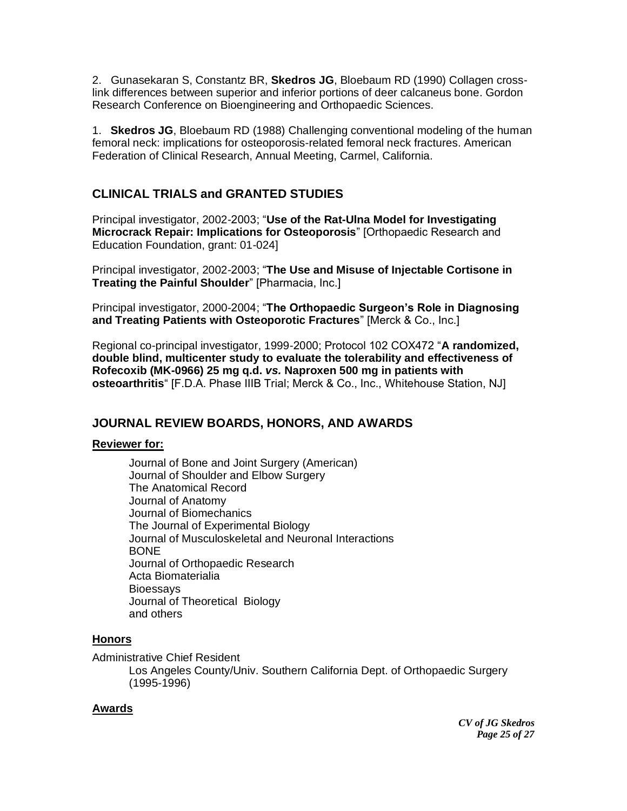2. Gunasekaran S, Constantz BR, **Skedros JG**, Bloebaum RD (1990) Collagen crosslink differences between superior and inferior portions of deer calcaneus bone. Gordon Research Conference on Bioengineering and Orthopaedic Sciences.

1. **Skedros JG**, Bloebaum RD (1988) Challenging conventional modeling of the human femoral neck: implications for osteoporosis-related femoral neck fractures. American Federation of Clinical Research, Annual Meeting, Carmel, California.

# **CLINICAL TRIALS and GRANTED STUDIES**

Principal investigator, 2002-2003; "**Use of the Rat-Ulna Model for Investigating Microcrack Repair: Implications for Osteoporosis**" [Orthopaedic Research and Education Foundation, grant: 01-024]

Principal investigator, 2002-2003; "**The Use and Misuse of Injectable Cortisone in Treating the Painful Shoulder**" [Pharmacia, Inc.]

Principal investigator, 2000-2004; "**The Orthopaedic Surgeon's Role in Diagnosing and Treating Patients with Osteoporotic Fractures**" [Merck & Co., Inc.]

Regional co-principal investigator, 1999-2000; Protocol 102 COX472 "**A randomized, double blind, multicenter study to evaluate the tolerability and effectiveness of Rofecoxib (MK-0966) 25 mg q.d.** *vs.* **Naproxen 500 mg in patients with osteoarthritis**" [F.D.A. Phase IIIB Trial; Merck & Co., Inc., Whitehouse Station, NJ]

# **JOURNAL REVIEW BOARDS, HONORS, AND AWARDS**

### **Reviewer for:**

Journal of Bone and Joint Surgery (American) Journal of Shoulder and Elbow Surgery The Anatomical Record Journal of Anatomy Journal of Biomechanics The Journal of Experimental Biology Journal of Musculoskeletal and Neuronal Interactions BONE Journal of Orthopaedic Research Acta Biomaterialia **Bioessays** Journal of Theoretical Biology and others

# **Honors**

Administrative Chief Resident Los Angeles County/Univ. Southern California Dept. of Orthopaedic Surgery (1995-1996)

### **Awards**